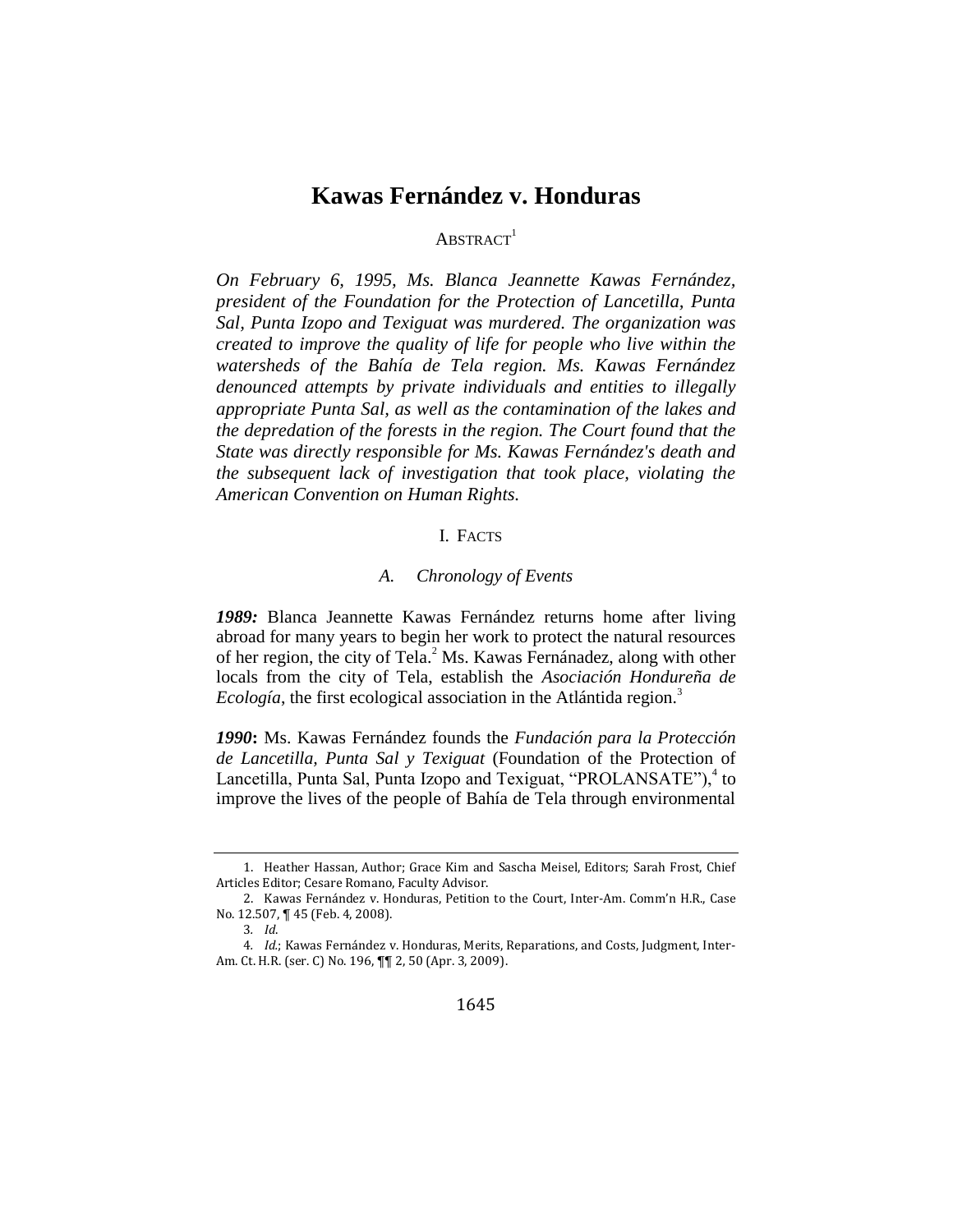# **Kawas Fernández v. Honduras**

# $ABSTRACT<sup>1</sup>$

*On February 6, 1995, Ms. Blanca Jeannette Kawas Fernández, president of the Foundation for the Protection of Lancetilla, Punta Sal, Punta Izopo and Texiguat was murdered. The organization was created to improve the quality of life for people who live within the watersheds of the Bahía de Tela region. Ms. Kawas Fernández denounced attempts by private individuals and entities to illegally appropriate Punta Sal, as well as the contamination of the lakes and the depredation of the forests in the region. The Court found that the State was directly responsible for Ms. Kawas Fernández's death and the subsequent lack of investigation that took place, violating the American Convention on Human Rights.*

# I. FACTS

### *A. Chronology of Events*

*1989:* Blanca Jeannette Kawas Fernández returns home after living abroad for many years to begin her work to protect the natural resources of her region, the city of Tela.<sup>2</sup> Ms. Kawas Fernánadez, along with other locals from the city of Tela, establish the *Asociación Hondureña de Ecología*, the first ecological association in the Atlántida region*.* 3

*1990***:** Ms. Kawas Fernández founds the *Fundación para la Protección de Lancetilla, Punta Sal y Texiguat* (Foundation of the Protection of Lancetilla, Punta Sal, Punta Izopo and Texiguat, "PROLANSATE"),<sup>4</sup> to improve the lives of the people of Bahía de Tela through environmental

<sup>1.</sup> Heather Hassan, Author; Grace Kim and Sascha Meisel, Editors; Sarah Frost, Chief Articles Editor; Cesare Romano, Faculty Advisor.

<sup>2.</sup> Kawas Fernández v. Honduras, Petition to the Court, Inter-Am. Comm'n H.R., Case No. 12.507, ¶ 45 (Feb. 4, 2008).

<sup>3</sup>*. Id*.

<sup>4</sup>*. Id.*; Kawas Fernández v. Honduras, Merits, Reparations, and Costs, Judgment, Inter-Am. Ct. H.R. (ser. C) No. 196, ¶¶ 2, 50 (Apr. 3, 2009).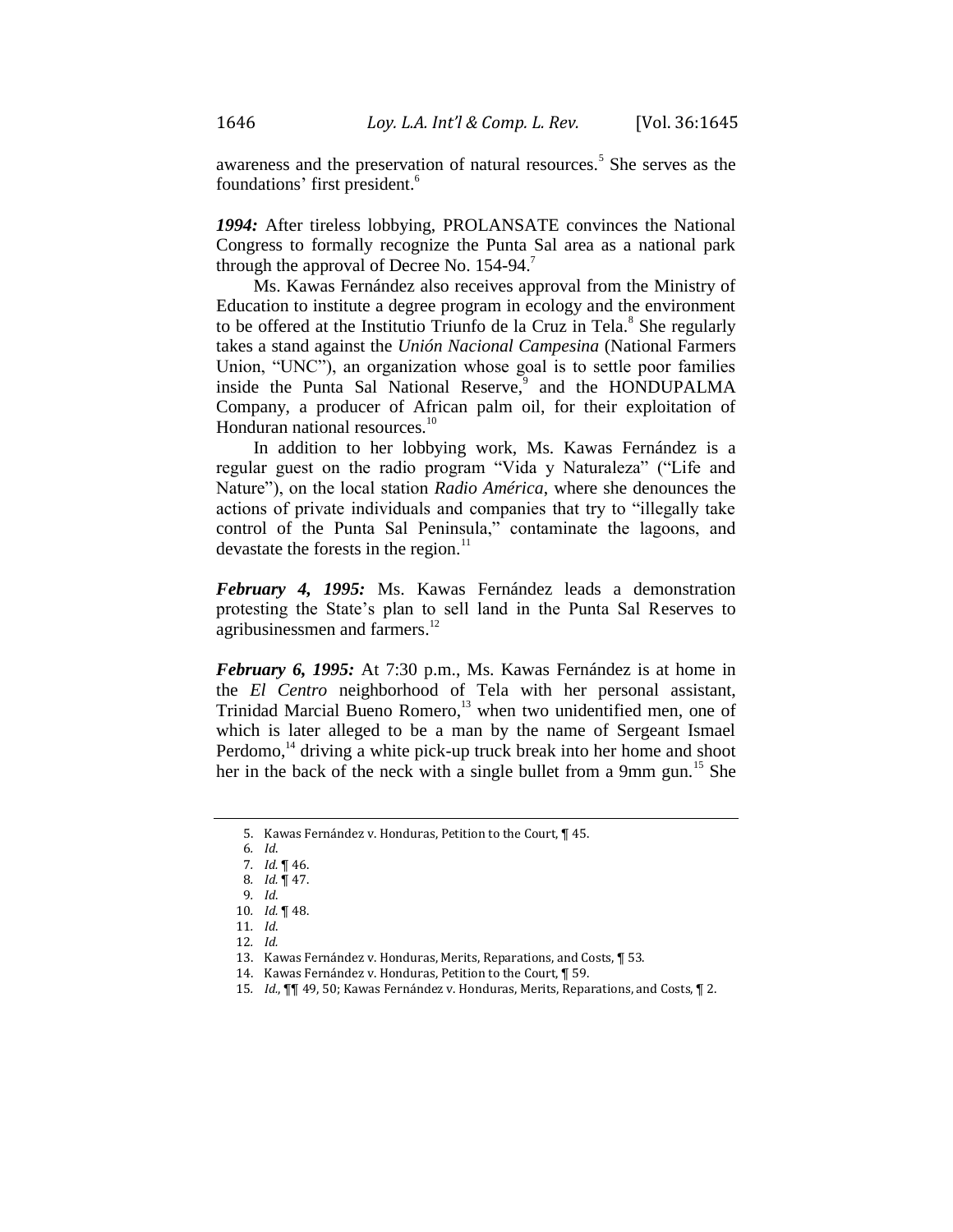awareness and the preservation of natural resources.<sup>5</sup> She serves as the foundations' first president.<sup>6</sup>

*1994:* After tireless lobbying, PROLANSATE convinces the National Congress to formally recognize the Punta Sal area as a national park through the approval of Decree No.  $154-94$ .<sup>7</sup>

Ms. Kawas Fernández also receives approval from the Ministry of Education to institute a degree program in ecology and the environment to be offered at the Institutio Triunfo de la Cruz in Tela.<sup>8</sup> She regularly takes a stand against the *Unión Nacional Campesina* (National Farmers Union, "UNC"), an organization whose goal is to settle poor families inside the Punta Sal National Reserve,<sup>9</sup> and the HONDUPALMA Company, a producer of African palm oil, for their exploitation of Honduran national resources.<sup>10</sup>

In addition to her lobbying work, Ms. Kawas Fernández is a regular guest on the radio program "Vida y Naturaleza" ("Life and Nature"), on the local station *Radio América*, where she denounces the actions of private individuals and companies that try to "illegally take control of the Punta Sal Peninsula," contaminate the lagoons, and devastate the forests in the region. $^{11}$ 

*February 4, 1995:* Ms. Kawas Fernández leads a demonstration protesting the State's plan to sell land in the Punta Sal Reserves to agribusinessmen and farmers.<sup>12</sup>

*February 6, 1995:* At 7:30 p.m., Ms. Kawas Fernández is at home in the *El Centro* neighborhood of Tela with her personal assistant, Trinidad Marcial Bueno Romero,<sup>13</sup> when two unidentified men, one of which is later alleged to be a man by the name of Sergeant Ismael Perdomo, $^{14}$  driving a white pick-up truck break into her home and shoot her in the back of the neck with a single bullet from a 9mm gun.<sup>15</sup> She

<sup>5.</sup> Kawas Fernández v. Honduras, Petition to the Court, ¶ 45.

<sup>6</sup>*. Id*.

<sup>7</sup>*. Id.* ¶ 46.

<sup>8</sup>*. Id.* ¶ 47.

<sup>9</sup>*. Id*.

<sup>10</sup>*. Id.* ¶ 48. 11*. Id*.

<sup>12</sup>*. Id.*

<sup>13.</sup> Kawas Fernández v. Honduras, Merits, Reparations, and Costs, ¶ 53.

<sup>14.</sup> Kawas Fernández v. Honduras, Petition to the Court, ¶ 59.

<sup>15</sup>*. Id.*, ¶¶ 49, 50; Kawas Fernández v. Honduras, Merits, Reparations, and Costs, ¶ 2.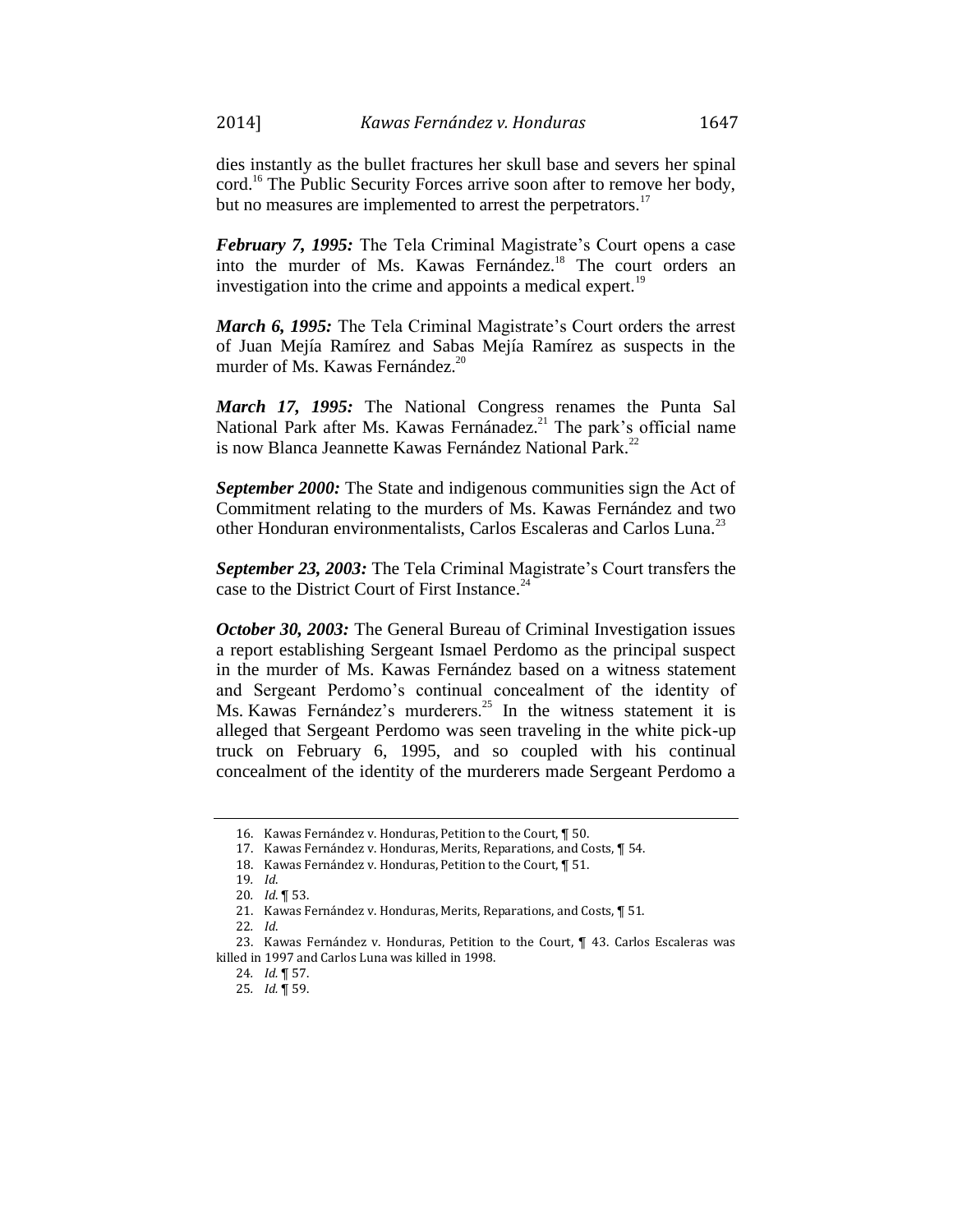*February 7, 1995:* The Tela Criminal Magistrate's Court opens a case into the murder of Ms. Kawas Fernández.<sup>18</sup> The court orders an investigation into the crime and appoints a medical expert.<sup>19</sup>

*March 6, 1995:* The Tela Criminal Magistrate's Court orders the arrest of Juan Mejía Ramírez and Sabas Mejía Ramírez as suspects in the murder of Ms. Kawas Fernández. 20

*March 17, 1995:* The National Congress renames the Punta Sal National Park after Ms. Kawas Fernánadez.<sup>21</sup> The park's official name is now Blanca Jeannette Kawas Fernández National Park.<sup>22</sup>

*September 2000:* The State and indigenous communities sign the Act of Commitment relating to the murders of Ms. Kawas Fernández and two other Honduran environmentalists, Carlos Escaleras and Carlos Luna.<sup>23</sup>

*September 23, 2003:* The Tela Criminal Magistrate's Court transfers the case to the District Court of First Instance.<sup>24</sup>

*October 30, 2003:* The General Bureau of Criminal Investigation issues a report establishing Sergeant Ismael Perdomo as the principal suspect in the murder of Ms. Kawas Fernández based on a witness statement and Sergeant Perdomo's continual concealment of the identity of Ms. Kawas Fernández's murderers.<sup>25</sup> In the witness statement it is alleged that Sergeant Perdomo was seen traveling in the white pick-up truck on February 6, 1995, and so coupled with his continual concealment of the identity of the murderers made Sergeant Perdomo a

<sup>16.</sup> Kawas Fernández v. Honduras, Petition to the Court, ¶ 50.

<sup>17.</sup> Kawas Fernández v. Honduras, Merits, Reparations, and Costs, ¶ 54.

<sup>18.</sup> Kawas Fernández v. Honduras, Petition to the Court, ¶ 51.

<sup>19</sup>*. Id*.

<sup>20</sup>*. Id*. ¶ 53.

<sup>21.</sup> Kawas Fernández v. Honduras, Merits, Reparations, and Costs, ¶ 51.

<sup>22</sup>*. Id*.

<sup>23.</sup> Kawas Fernández v. Honduras, Petition to the Court, ¶ 43. Carlos Escaleras was killed in 1997 and Carlos Luna was killed in 1998.

<sup>24</sup>*. Id.* ¶ 57.

<sup>25</sup>*. Id.* ¶ 59.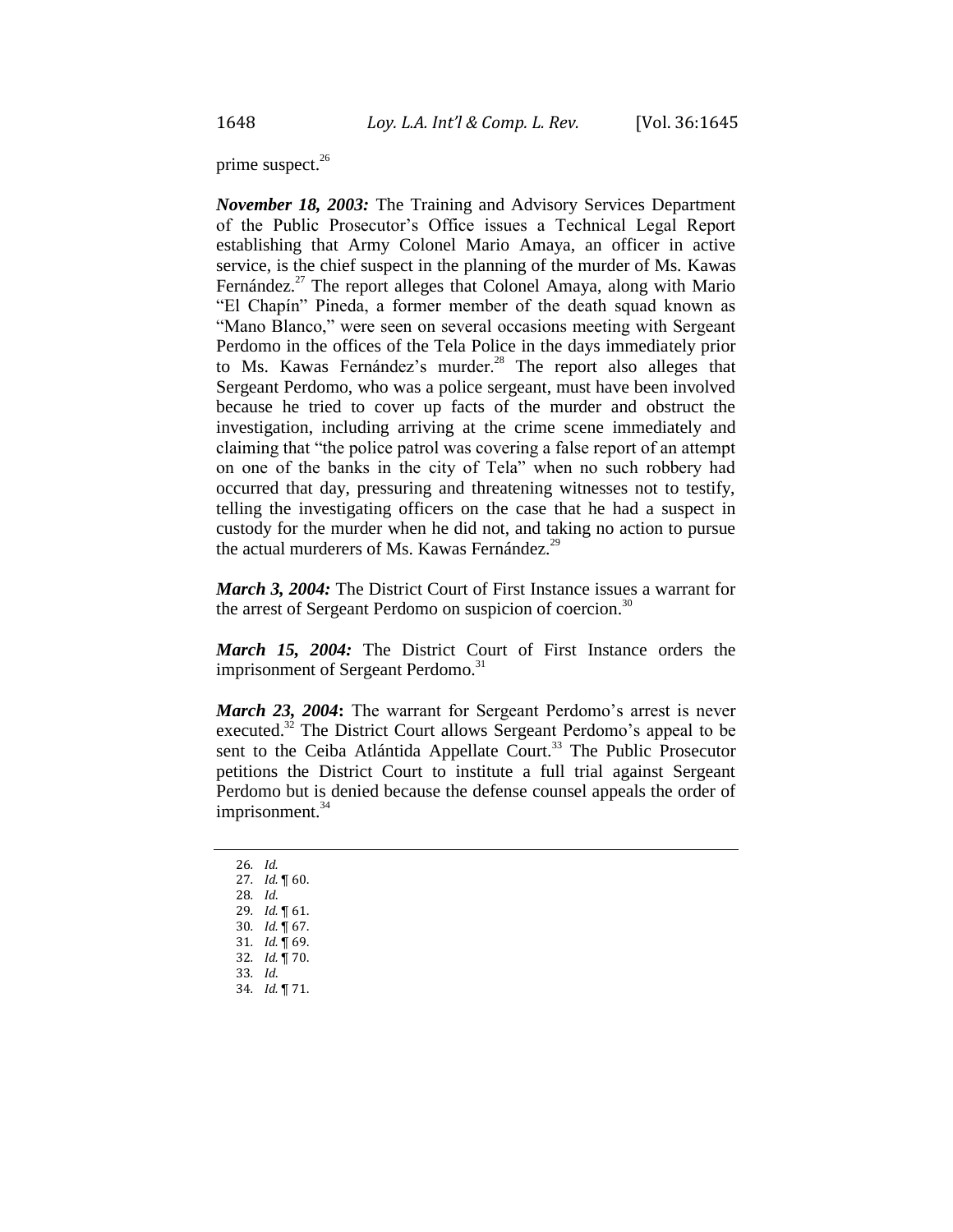prime suspect. $26$ 

*November 18, 2003:* The Training and Advisory Services Department of the Public Prosecutor's Office issues a Technical Legal Report establishing that Army Colonel Mario Amaya, an officer in active service, is the chief suspect in the planning of the murder of Ms. Kawas Fernández.<sup>27</sup> The report alleges that Colonel Amaya, along with Mario "El Chapín" Pineda, a former member of the death squad known as "Mano Blanco," were seen on several occasions meeting with Sergeant Perdomo in the offices of the Tela Police in the days immediately prior to Ms. Kawas Fernández's murder.<sup>28</sup> The report also alleges that Sergeant Perdomo, who was a police sergeant, must have been involved because he tried to cover up facts of the murder and obstruct the investigation, including arriving at the crime scene immediately and claiming that "the police patrol was covering a false report of an attempt on one of the banks in the city of Tela" when no such robbery had occurred that day, pressuring and threatening witnesses not to testify, telling the investigating officers on the case that he had a suspect in custody for the murder when he did not, and taking no action to pursue the actual murderers of Ms. Kawas Fernández. $^{29}$ 

*March 3, 2004:* The District Court of First Instance issues a warrant for the arrest of Sergeant Perdomo on suspicion of coercion.<sup>30</sup>

*March 15, 2004:* The District Court of First Instance orders the imprisonment of Sergeant Perdomo.<sup>31</sup>

*March 23, 2004***:** The warrant for Sergeant Perdomo's arrest is never executed.<sup>32</sup> The District Court allows Sergeant Perdomo's appeal to be sent to the Ceiba Atlántida Appellate Court.<sup>33</sup> The Public Prosecutor petitions the District Court to institute a full trial against Sergeant Perdomo but is denied because the defense counsel appeals the order of imprisonment.<sup>34</sup>

26*. Id. . Id.* ¶ 60. 28*. Id*. *. Id.* ¶ 61. *. Id.* ¶ 67. *. Id.* ¶ 69. *. Id.* ¶ 70. 33*. Id*. *. Id.* ¶ 71.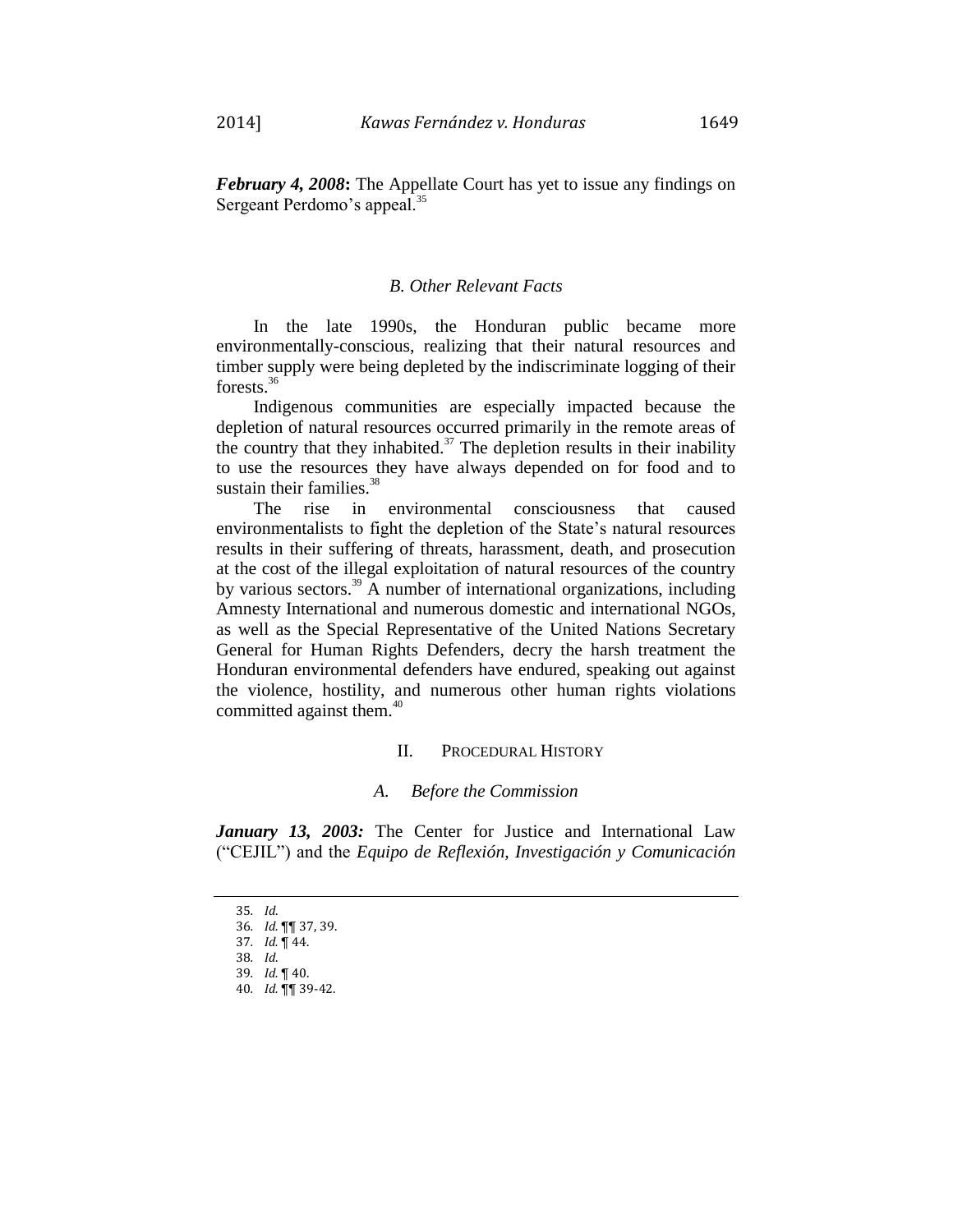*February 4, 2008***:** The Appellate Court has yet to issue any findings on Sergeant Perdomo's appeal.<sup>35</sup>

# *B. Other Relevant Facts*

In the late 1990s, the Honduran public became more environmentally-conscious, realizing that their natural resources and timber supply were being depleted by the indiscriminate logging of their forests.<sup>36</sup>

Indigenous communities are especially impacted because the depletion of natural resources occurred primarily in the remote areas of the country that they inhabited.<sup>37</sup> The depletion results in their inability to use the resources they have always depended on for food and to sustain their families. $38$ 

The rise in environmental consciousness that caused environmentalists to fight the depletion of the State's natural resources results in their suffering of threats, harassment, death, and prosecution at the cost of the illegal exploitation of natural resources of the country by various sectors.<sup>39</sup> A number of international organizations, including Amnesty International and numerous domestic and international NGOs, as well as the Special Representative of the United Nations Secretary General for Human Rights Defenders, decry the harsh treatment the Honduran environmental defenders have endured, speaking out against the violence, hostility, and numerous other human rights violations committed against them.<sup>40</sup>

#### II. PROCEDURAL HISTORY

#### *A. Before the Commission*

*January 13, 2003:* The Center for Justice and International Law ("CEJIL") and the *Equipo de Reflexión, Investigación y Comunicación*

<sup>35</sup>*. Id*.

<sup>36</sup>*. Id.* ¶¶ 37, 39. 37*. Id.* ¶ 44.

<sup>38</sup>*. Id*.

<sup>39</sup>*. Id.* ¶ 40.

<sup>40</sup>*. Id.* ¶¶ 39-42.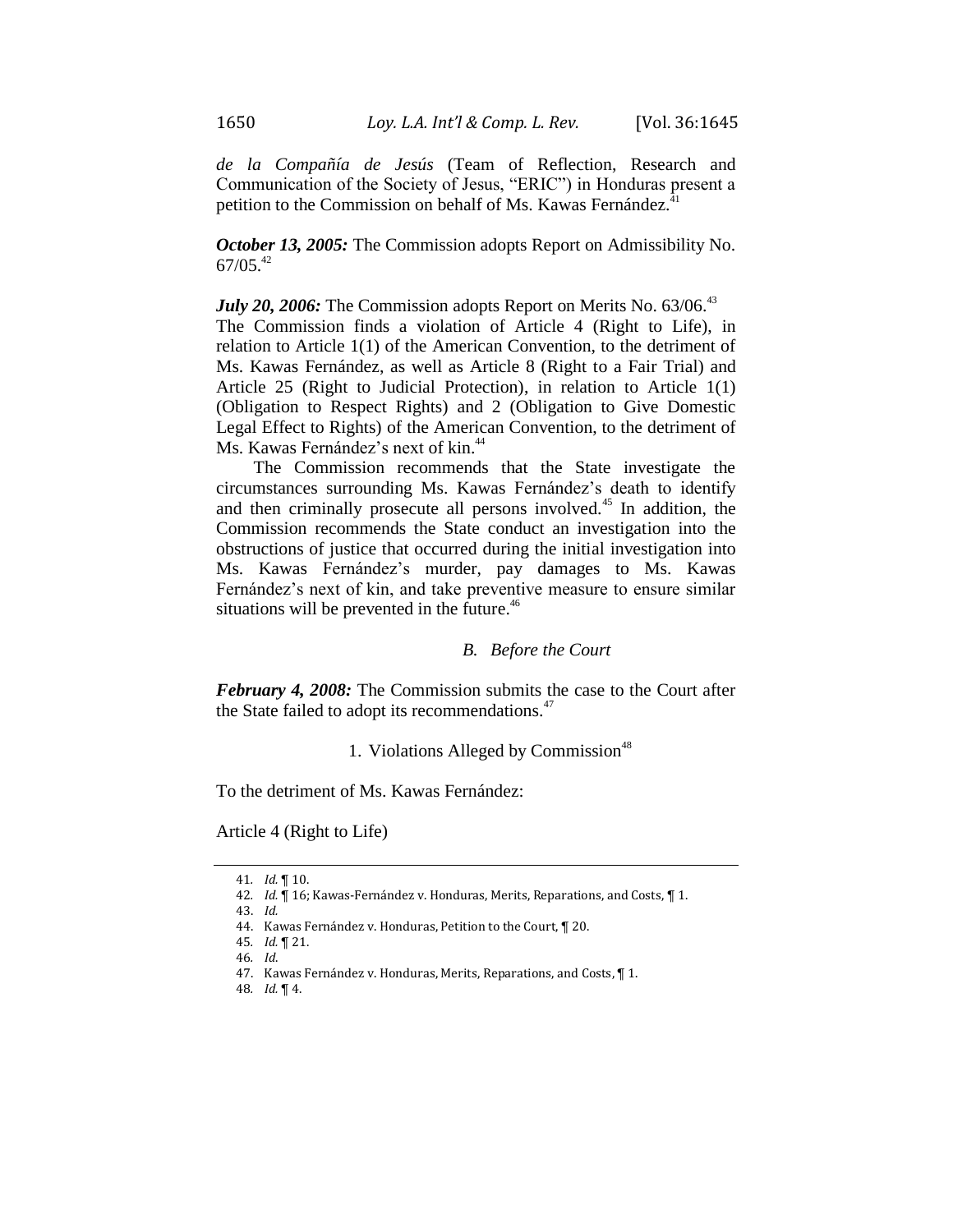*de la Compañía de Jesús* (Team of Reflection, Research and Communication of the Society of Jesus, "ERIC") in Honduras present a petition to the Commission on behalf of Ms. Kawas Fernández.<sup>4</sup>

*October 13, 2005:* The Commission adopts Report on Admissibility No.  $67/05.<sup>42</sup>$ 

*July 20, 2006:* The Commission adopts Report on Merits No. 63/06.<sup>43</sup> The Commission finds a violation of Article 4 (Right to Life), in relation to Article 1(1) of the American Convention, to the detriment of Ms. Kawas Fernández, as well as Article 8 (Right to a Fair Trial) and Article 25 (Right to Judicial Protection), in relation to Article 1(1) (Obligation to Respect Rights) and 2 (Obligation to Give Domestic Legal Effect to Rights) of the American Convention, to the detriment of Ms. Kawas Fernández's next of kin.<sup>44</sup>

The Commission recommends that the State investigate the circumstances surrounding Ms. Kawas Fernández's death to identify and then criminally prosecute all persons involved.<sup>45</sup> In addition, the Commission recommends the State conduct an investigation into the obstructions of justice that occurred during the initial investigation into Ms. Kawas Fernández's murder, pay damages to Ms. Kawas Fernández's next of kin, and take preventive measure to ensure similar situations will be prevented in the future.<sup>46</sup>

# *B. Before the Court*

*February 4, 2008:* The Commission submits the case to the Court after the State failed to adopt its recommendations.<sup>47</sup>

#### 1. Violations Alleged by Commission<sup>48</sup>

To the detriment of Ms. Kawas Fernández:

Article 4 (Right to Life)

43. *Id.*

<sup>41</sup>*. Id.* ¶ 10.

<sup>42</sup>*. Id.* ¶ 16; Kawas-Fernández v. Honduras, Merits, Reparations, and Costs, ¶ 1.

<sup>44.</sup> Kawas Fernández v. Honduras, Petition to the Court, ¶ 20.

<sup>45</sup>*. Id.* ¶ 21.

<sup>46</sup>*. Id*.

<sup>47.</sup> Kawas Fernández v. Honduras, Merits, Reparations, and Costs, ¶ 1.

<sup>48</sup>*. Id.* ¶ 4.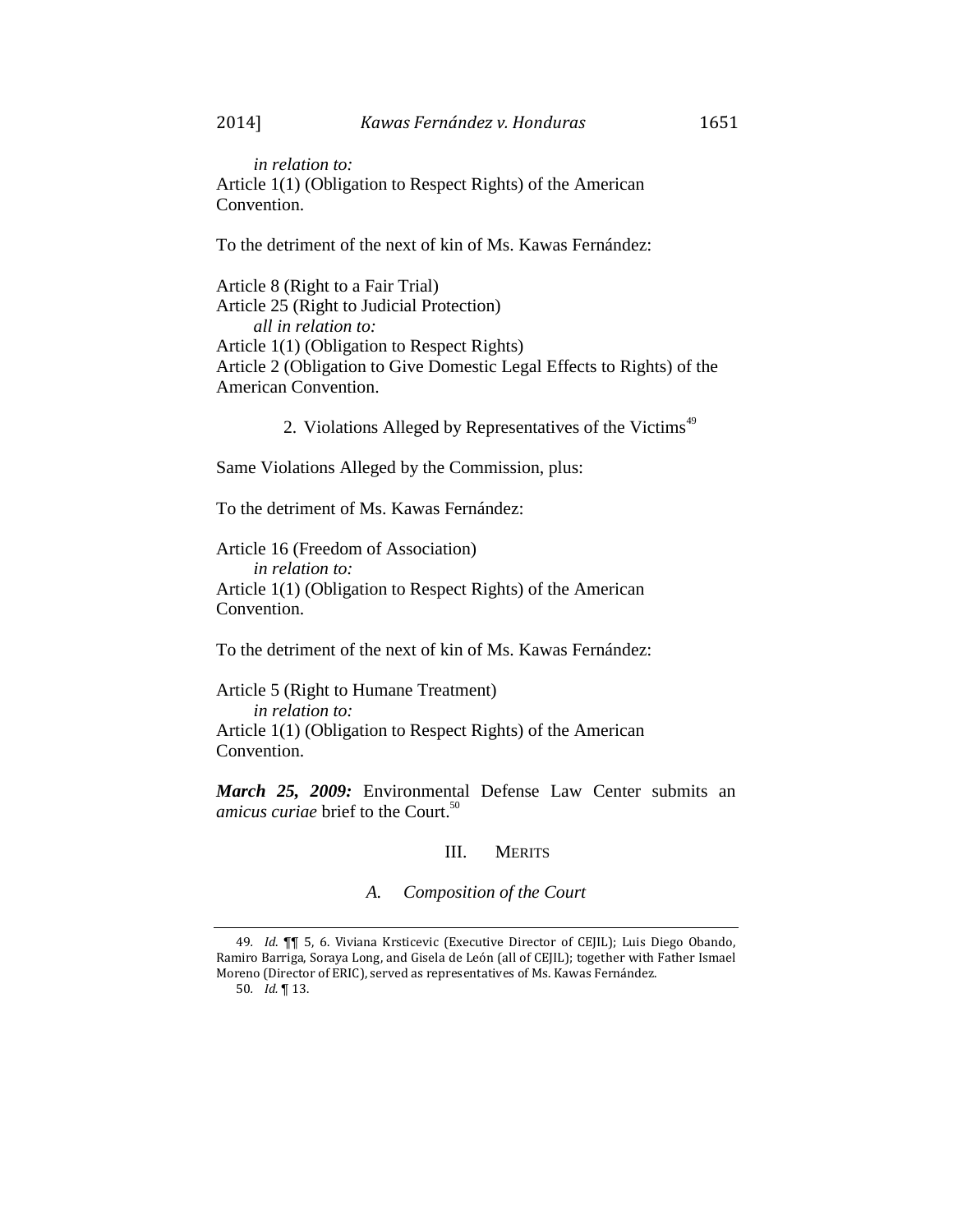*in relation to:* Article 1(1) (Obligation to Respect Rights) of the American Convention.

To the detriment of the next of kin of Ms. Kawas Fernández:

Article 8 (Right to a Fair Trial) Article 25 (Right to Judicial Protection) *all in relation to:* Article 1(1) (Obligation to Respect Rights) Article 2 (Obligation to Give Domestic Legal Effects to Rights) of the American Convention.

2. Violations Alleged by Representatives of the Victims<sup>49</sup>

Same Violations Alleged by the Commission, plus:

To the detriment of Ms. Kawas Fernández:

Article 16 (Freedom of Association) *in relation to:* Article 1(1) (Obligation to Respect Rights) of the American Convention.

To the detriment of the next of kin of Ms. Kawas Fernández:

Article 5 (Right to Humane Treatment) *in relation to:* Article 1(1) (Obligation to Respect Rights) of the American Convention.

*March 25, 2009:* Environmental Defense Law Center submits an *amicus curiae* brief to the Court.<sup>50</sup>

# III. MERITS

### *A. Composition of the Court*

<sup>49</sup>*. Id*. ¶¶ 5, 6. Viviana Krsticevic (Executive Director of CEJIL); Luis Diego Obando, Ramiro Barriga, Soraya Long, and Gisela de León (all of CEJIL); together with Father Ismael Moreno (Director of ERIC), served as representatives of Ms. Kawas Fernández.

<sup>50</sup>*. Id.* ¶ 13.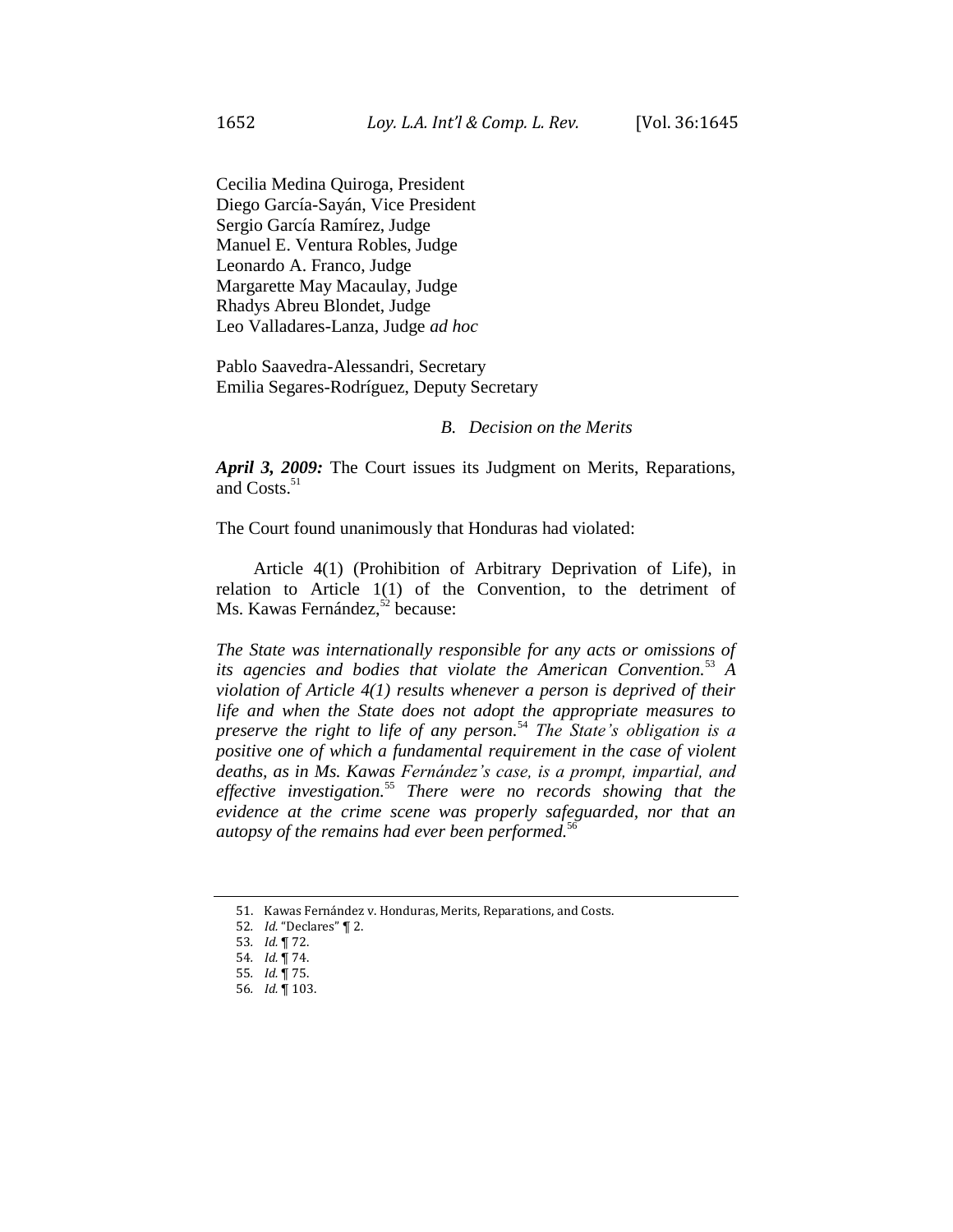Cecilia Medina Quiroga, President Diego García-Sayán, Vice President Sergio García Ramírez, Judge Manuel E. Ventura Robles, Judge Leonardo A. Franco, Judge Margarette May Macaulay, Judge Rhadys Abreu Blondet, Judge Leo Valladares-Lanza, Judge *ad hoc*

Pablo Saavedra-Alessandri, Secretary Emilia Segares-Rodríguez, Deputy Secretary

# *B. Decision on the Merits*

*April 3, 2009:* The Court issues its Judgment on Merits, Reparations, and Costs.<sup>51</sup>

The Court found unanimously that Honduras had violated:

Article 4(1) (Prohibition of Arbitrary Deprivation of Life), in relation to Article 1(1) of the Convention, to the detriment of Ms. Kawas Fernández,<sup>52</sup> because:

*The State was internationally responsible for any acts or omissions of its agencies and bodies that violate the American Convention.*<sup>53</sup> *A violation of Article 4(1) results whenever a person is deprived of their life and when the State does not adopt the appropriate measures to preserve the right to life of any person.*<sup>54</sup> *The State's obligation is a positive one of which a fundamental requirement in the case of violent deaths, as in Ms. Kawas Fernández's case, is a prompt, impartial, and effective investigation.*<sup>55</sup> *There were no records showing that the evidence at the crime scene was properly safeguarded, nor that an autopsy of the remains had ever been performed.*<sup>56</sup>

<sup>51.</sup> Kawas Fernández v. Honduras, Merits, Reparations, and Costs.

<sup>52</sup>*. Id.* "Declares" ¶ 2.

<sup>53</sup>*. Id.* ¶ 72.

<sup>54</sup>*. Id.* ¶ 74.

<sup>55</sup>*. Id.* ¶ 75.

<sup>56</sup>*. Id.* ¶ 103.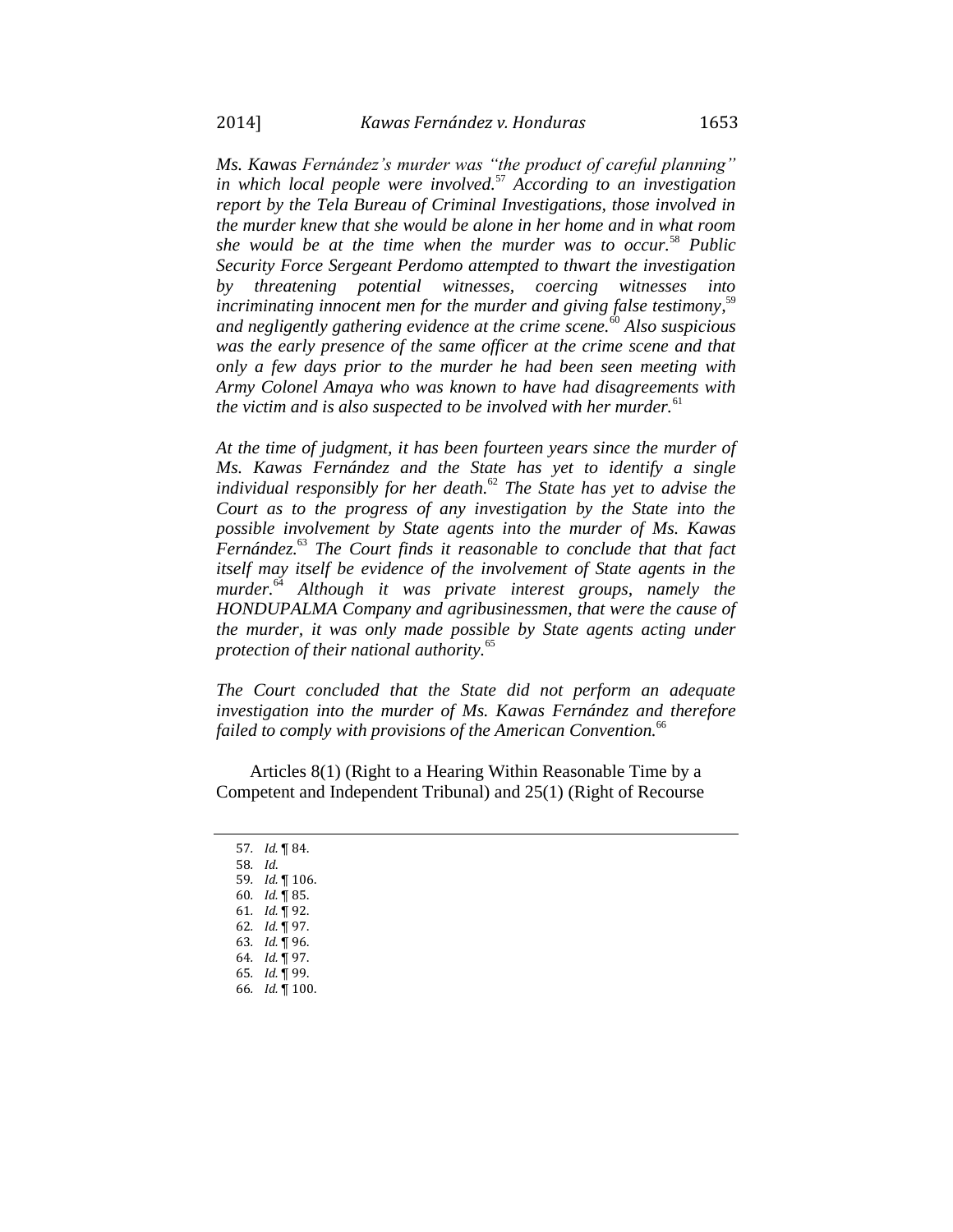*Ms. Kawas Fernández's murder was "the product of careful planning" in which local people were involved.*<sup>57</sup> *According to an investigation report by the Tela Bureau of Criminal Investigations, those involved in the murder knew that she would be alone in her home and in what room she would be at the time when the murder was to occur.*<sup>58</sup> *Public Security Force Sergeant Perdomo attempted to thwart the investigation by threatening potential witnesses, coercing witnesses into incriminating innocent men for the murder and giving false testimony,* 59 *and negligently gathering evidence at the crime scene.*<sup>60</sup> *Also suspicious was the early presence of the same officer at the crime scene and that only a few days prior to the murder he had been seen meeting with Army Colonel Amaya who was known to have had disagreements with the victim and is also suspected to be involved with her murder.*<sup>61</sup>

*At the time of judgment, it has been fourteen years since the murder of Ms. Kawas Fernández and the State has yet to identify a single individual responsibly for her death.*<sup>62</sup> *The State has yet to advise the Court as to the progress of any investigation by the State into the possible involvement by State agents into the murder of Ms. Kawas Fernández.*<sup>63</sup> *The Court finds it reasonable to conclude that that fact itself may itself be evidence of the involvement of State agents in the murder.*<sup>64</sup> *Although it was private interest groups, namely the HONDUPALMA Company and agribusinessmen, that were the cause of the murder, it was only made possible by State agents acting under protection of their national authority.*<sup>65</sup>

*The Court concluded that the State did not perform an adequate investigation into the murder of Ms. Kawas Fernández and therefore failed to comply with provisions of the American Convention.*<sup>66</sup>

Articles 8(1) (Right to a Hearing Within Reasonable Time by a Competent and Independent Tribunal) and 25(1) (Right of Recourse

*. Id.* ¶ 84. 58*. Id*. *. Id.* ¶ 106. *. Id.* ¶ 85. *. Id.* ¶ 92. *. Id.* ¶ 97. *. Id.* ¶ 96. *. Id.* ¶ 97. *. Id.* ¶ 99. *. Id.* ¶ 100.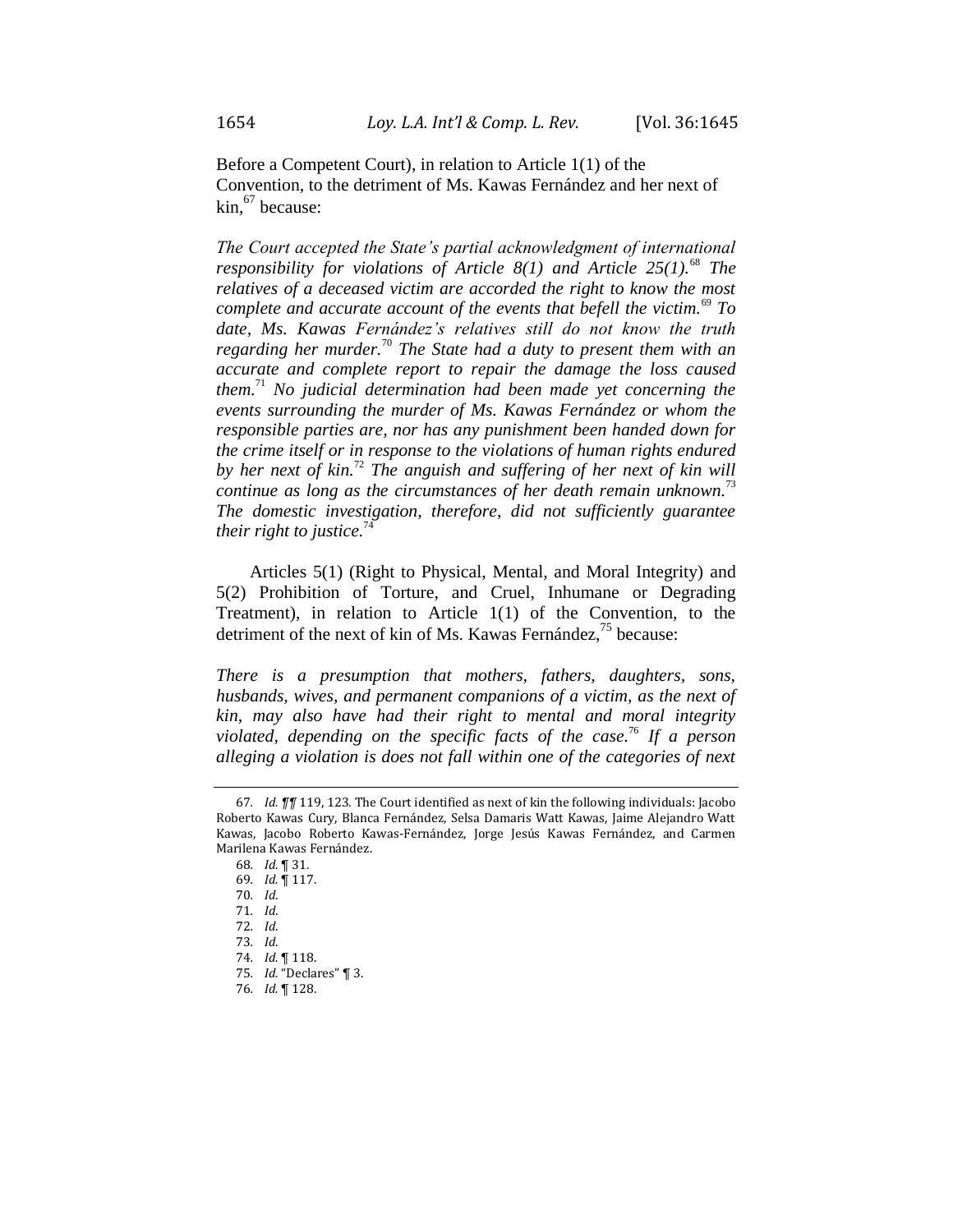Before a Competent Court), in relation to Article 1(1) of the Convention, to the detriment of Ms. Kawas Fernández and her next of kin, <sup>67</sup> because:

*The Court accepted the State's partial acknowledgment of international responsibility for violations of Article 8(1) and Article 25(1).*<sup>68</sup> *The relatives of a deceased victim are accorded the right to know the most complete and accurate account of the events that befell the victim.*<sup>69</sup> *To date, Ms. Kawas Fernández's relatives still do not know the truth regarding her murder.*<sup>70</sup> *The State had a duty to present them with an accurate and complete report to repair the damage the loss caused them.*<sup>71</sup> *No judicial determination had been made yet concerning the events surrounding the murder of Ms. Kawas Fernández or whom the responsible parties are, nor has any punishment been handed down for the crime itself or in response to the violations of human rights endured by her next of kin.*<sup>72</sup> *The anguish and suffering of her next of kin will continue as long as the circumstances of her death remain unknown.*<sup>73</sup> *The domestic investigation, therefore, did not sufficiently guarantee their right to justice.*<sup>74</sup>

Articles 5(1) (Right to Physical, Mental, and Moral Integrity) and 5(2) Prohibition of Torture, and Cruel, Inhumane or Degrading Treatment), in relation to Article 1(1) of the Convention, to the detriment of the next of kin of Ms. Kawas Fernández,<sup>75</sup> because:

*There is a presumption that mothers, fathers, daughters, sons, husbands, wives, and permanent companions of a victim, as the next of kin, may also have had their right to mental and moral integrity violated, depending on the specific facts of the case.*<sup>76</sup> *If a person alleging a violation is does not fall within one of the categories of next* 

<sup>67</sup>*. Id. ¶¶* 119, 123. The Court identified as next of kin the following individuals: Jacobo Roberto Kawas Cury, Blanca Fernández, Selsa Damaris Watt Kawas, Jaime Alejandro Watt Kawas, Jacobo Roberto Kawas-Fernández, Jorge Jesús Kawas Fernández, and Carmen Marilena Kawas Fernández.

<sup>68</sup>*. Id.* ¶ 31. 69*. Id.* ¶ 117. 70*. Id*. 71*. Id*. 72*. Id*. 73*. Id*.

<sup>74</sup>*. Id.* ¶ 118.

<sup>75</sup>*. Id.* "Declares" ¶ 3.

<sup>76</sup>*. Id.* ¶ 128.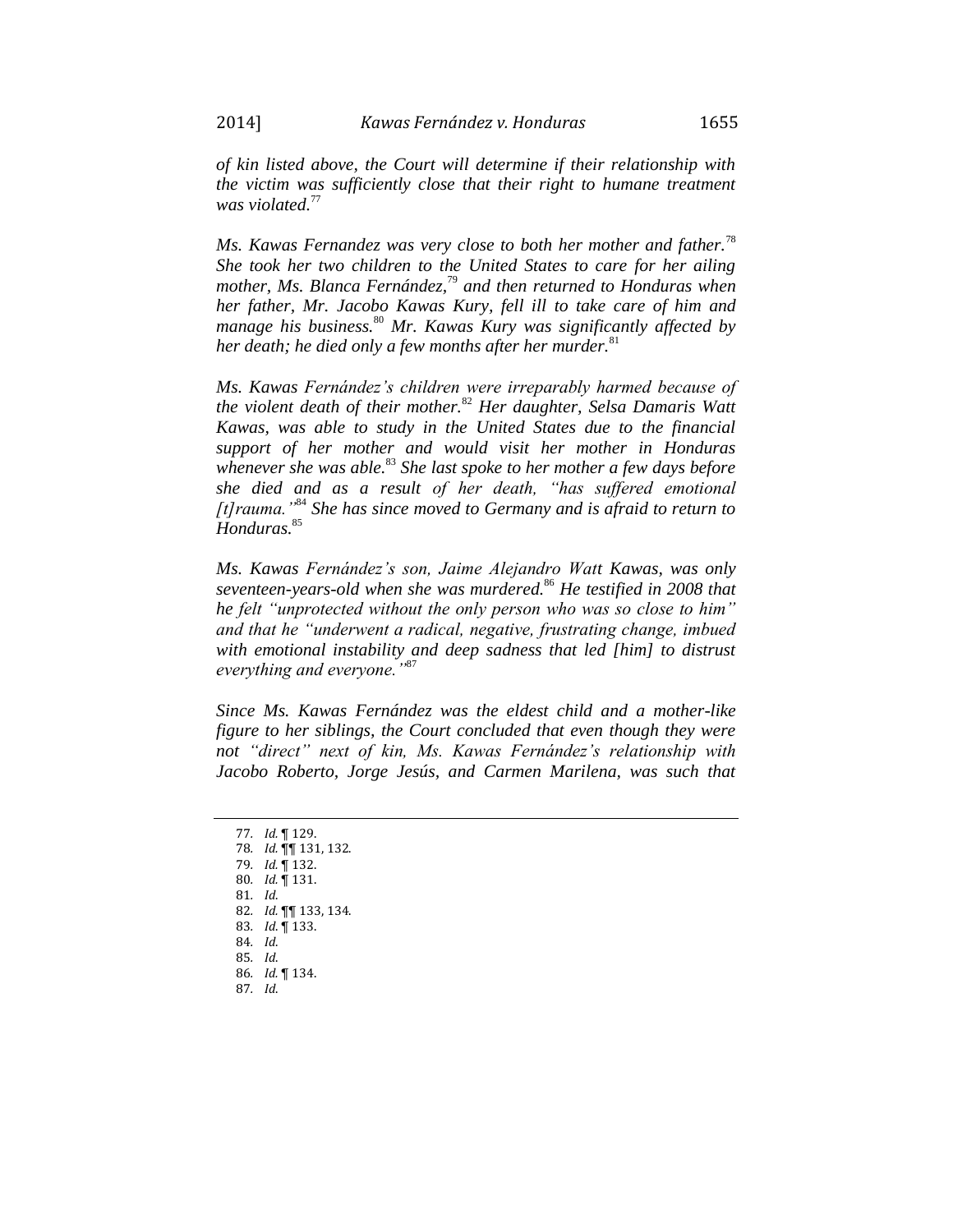*of kin listed above, the Court will determine if their relationship with the victim was sufficiently close that their right to humane treatment was violated.*<sup>77</sup>

*Ms. Kawas Fernandez was very close to both her mother and father.*<sup>78</sup> *She took her two children to the United States to care for her ailing mother, Ms. Blanca Fernández,*<sup>79</sup> *and then returned to Honduras when her father, Mr. Jacobo Kawas Kury, fell ill to take care of him and manage his business.*<sup>80</sup> *Mr. Kawas Kury was significantly affected by her death; he died only a few months after her murder.*<sup>81</sup>

*Ms. Kawas Fernández's children were irreparably harmed because of the violent death of their mother.*<sup>82</sup> *Her daughter, Selsa Damaris Watt Kawas, was able to study in the United States due to the financial support of her mother and would visit her mother in Honduras whenever she was able.*<sup>83</sup> *She last spoke to her mother a few days before she died and as a result of her death, "has suffered emotional [t]rauma."*<sup>84</sup> *She has since moved to Germany and is afraid to return to*  Honduras.<sup>85</sup>

*Ms. Kawas Fernández's son, Jaime Alejandro Watt Kawas, was only seventeen-years-old when she was murdered.*<sup>86</sup> *He testified in 2008 that he felt "unprotected without the only person who was so close to him" and that he "underwent a radical, negative, frustrating change, imbued with emotional instability and deep sadness that led [him] to distrust everything and everyone."*<sup>87</sup>

*Since Ms. Kawas Fernández was the eldest child and a mother-like figure to her siblings, the Court concluded that even though they were not "direct" next of kin, Ms. Kawas Fernández's relationship with Jacobo Roberto, Jorge Jesús, and Carmen Marilena, was such that* 

<sup>77</sup>*. Id.* ¶ 129. 78*. Id.* ¶¶ 131, 132. 79*. Id.* ¶ 132. 80*. Id.* ¶ 131. 81*. Id*. 82*. Id.* ¶¶ 133, 134. 83*. Id*. ¶ 133. 84*. Id*. 85*. Id*. 86*. Id.* ¶ 134. 87*. Id*.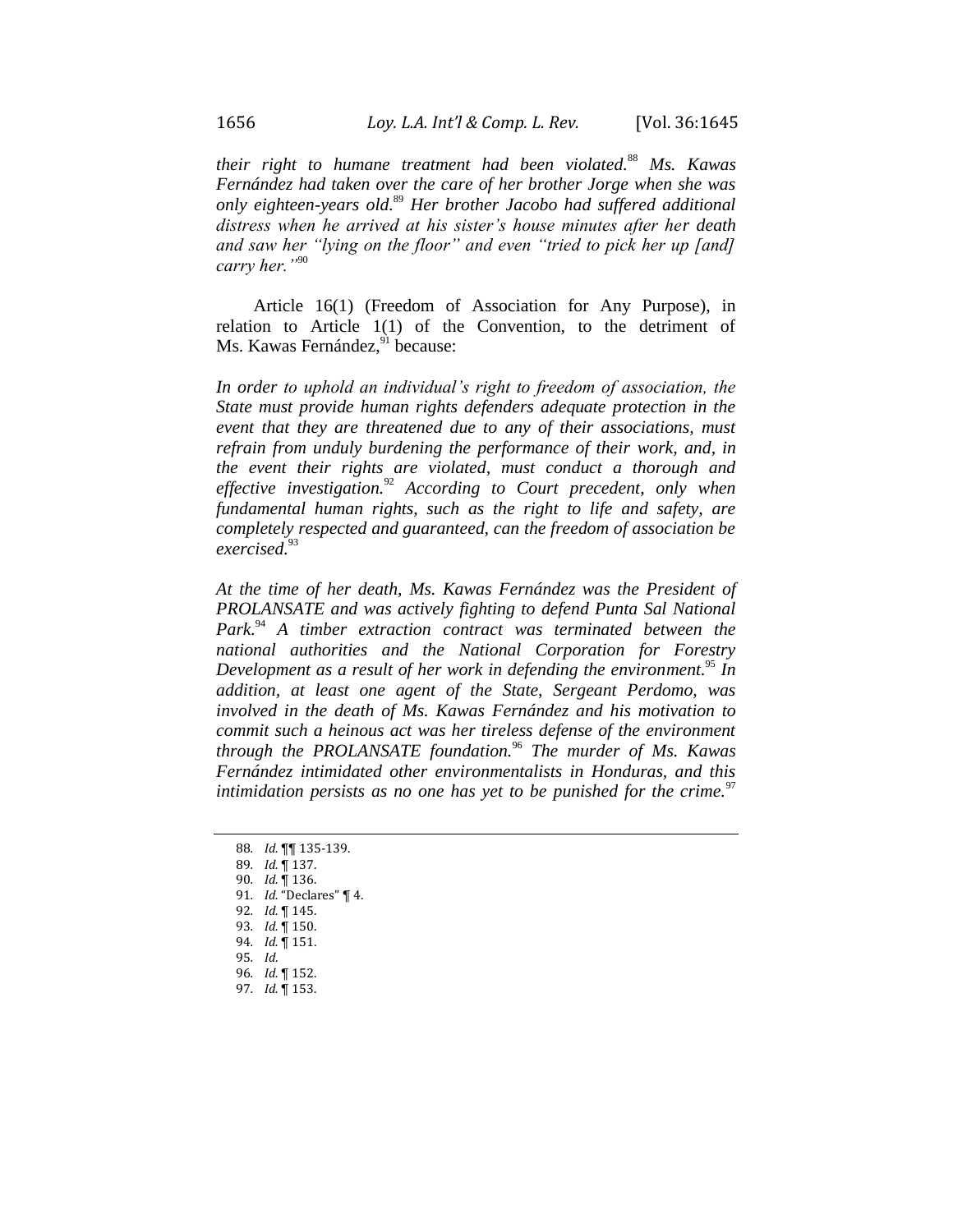*their right to humane treatment had been violated.*<sup>88</sup> *Ms. Kawas Fernández had taken over the care of her brother Jorge when she was only eighteen-years old.*<sup>89</sup> *Her brother Jacobo had suffered additional distress when he arrived at his sister's house minutes after her death and saw her "lying on the floor" and even "tried to pick her up [and] carry her."*<sup>90</sup>

Article 16(1) (Freedom of Association for Any Purpose), in relation to Article 1(1) of the Convention, to the detriment of Ms. Kawas Fernández,<sup>91</sup> because:

*In order to uphold an individual's right to freedom of association, the State must provide human rights defenders adequate protection in the event that they are threatened due to any of their associations, must refrain from unduly burdening the performance of their work, and, in the event their rights are violated, must conduct a thorough and effective investigation.*<sup>92</sup> *According to Court precedent, only when fundamental human rights, such as the right to life and safety, are completely respected and guaranteed, can the freedom of association be exercised.*<sup>93</sup>

*At the time of her death, Ms. Kawas Fernández was the President of PROLANSATE and was actively fighting to defend Punta Sal National Park.*<sup>94</sup> *A timber extraction contract was terminated between the national authorities and the National Corporation for Forestry Development as a result of her work in defending the environment.*<sup>95</sup> *In addition, at least one agent of the State, Sergeant Perdomo, was involved in the death of Ms. Kawas Fernández and his motivation to commit such a heinous act was her tireless defense of the environment through the PROLANSATE foundation.*<sup>96</sup> *The murder of Ms. Kawas Fernández intimidated other environmentalists in Honduras, and this intimidation persists as no one has yet to be punished for the crime.*<sup>97</sup>

<sup>88</sup>*. Id.* ¶¶ 135-139. 89*. Id.* ¶ 137. 90*. Id.* ¶ 136. 91*. Id.* "Declares" ¶ 4. 92*. Id.* ¶ 145. 93*. Id.* ¶ 150. 94*. Id.* ¶ 151. 95*. Id*. 96*. Id.* ¶ 152.

<sup>97</sup>*. Id.* ¶ 153.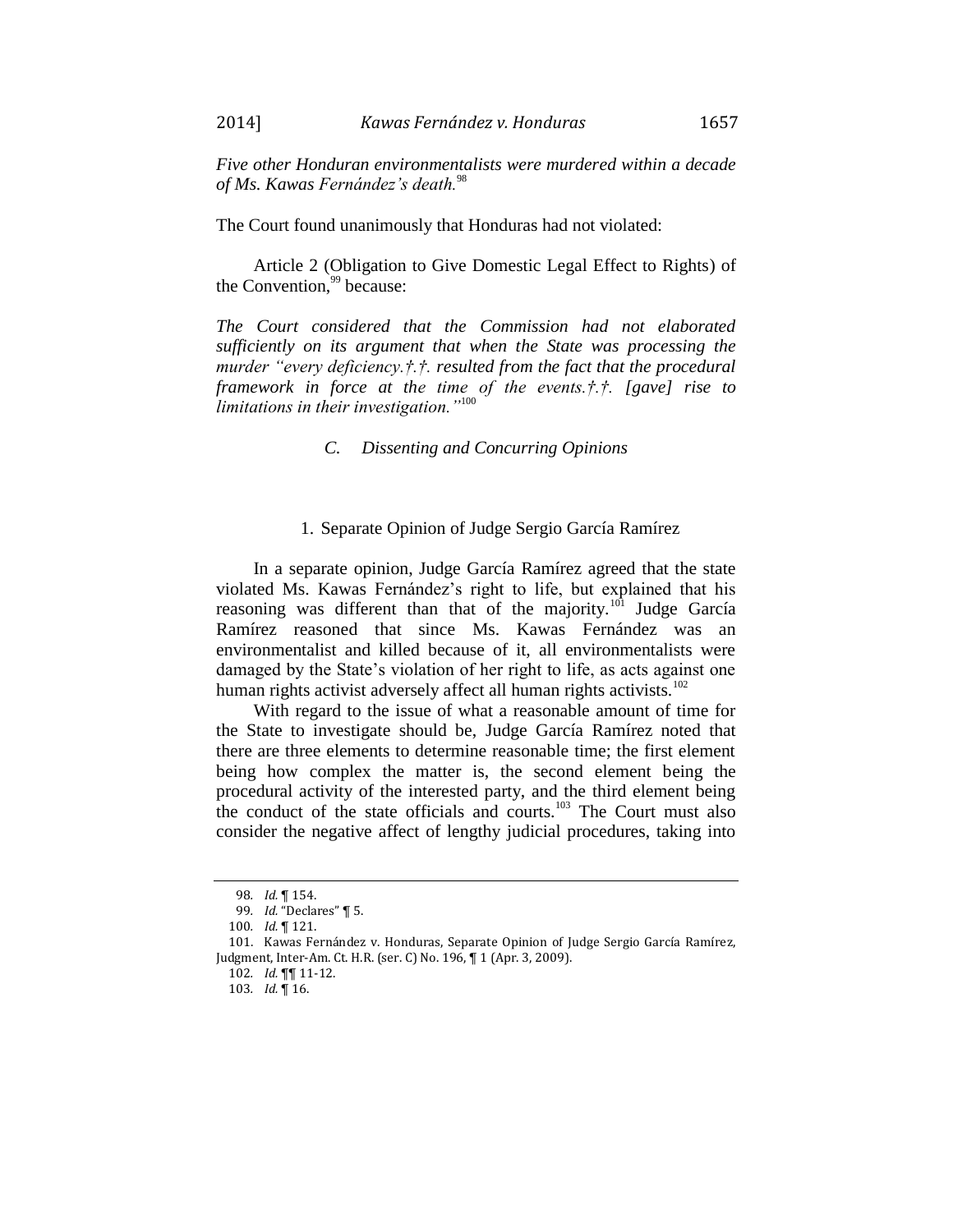*Five other Honduran environmentalists were murdered within a decade of Ms. Kawas Fernández's death.*<sup>98</sup>

The Court found unanimously that Honduras had not violated:

Article 2 (Obligation to Give Domestic Legal Effect to Rights) of the Convention,<sup>99</sup> because:

*The Court considered that the Commission had not elaborated sufficiently on its argument that when the State was processing the murder "every deficiency.†.†. resulted from the fact that the procedural framework in force at the time of the events.†.†. [gave] rise to limitations in their investigation."*<sup>100</sup>

*C. Dissenting and Concurring Opinions*

#### 1. Separate Opinion of Judge Sergio García Ramírez

In a separate opinion, Judge García Ramírez agreed that the state violated Ms. Kawas Fernández's right to life, but explained that his reasoning was different than that of the majority.<sup>101</sup> Judge García Ramírez reasoned that since Ms. Kawas Fernández was an environmentalist and killed because of it, all environmentalists were damaged by the State's violation of her right to life, as acts against one human rights activist adversely affect all human rights activists.<sup>102</sup>

With regard to the issue of what a reasonable amount of time for the State to investigate should be, Judge García Ramírez noted that there are three elements to determine reasonable time; the first element being how complex the matter is, the second element being the procedural activity of the interested party, and the third element being the conduct of the state officials and courts.<sup>103</sup> The Court must also consider the negative affect of lengthy judicial procedures, taking into

<sup>98</sup>*. Id.* ¶ 154.

<sup>99</sup>*. Id.* "Declares" ¶ 5.

<sup>100</sup>*. Id.* ¶ 121.

<sup>101.</sup> Kawas Fernández v. Honduras, Separate Opinion of Judge Sergio García Ramírez, Judgment, Inter-Am. Ct. H.R. (ser. C) No. 196, ¶ 1 (Apr. 3, 2009).

<sup>102</sup>*. Id.* ¶¶ 11-12.

<sup>103</sup>*. Id.* ¶ 16.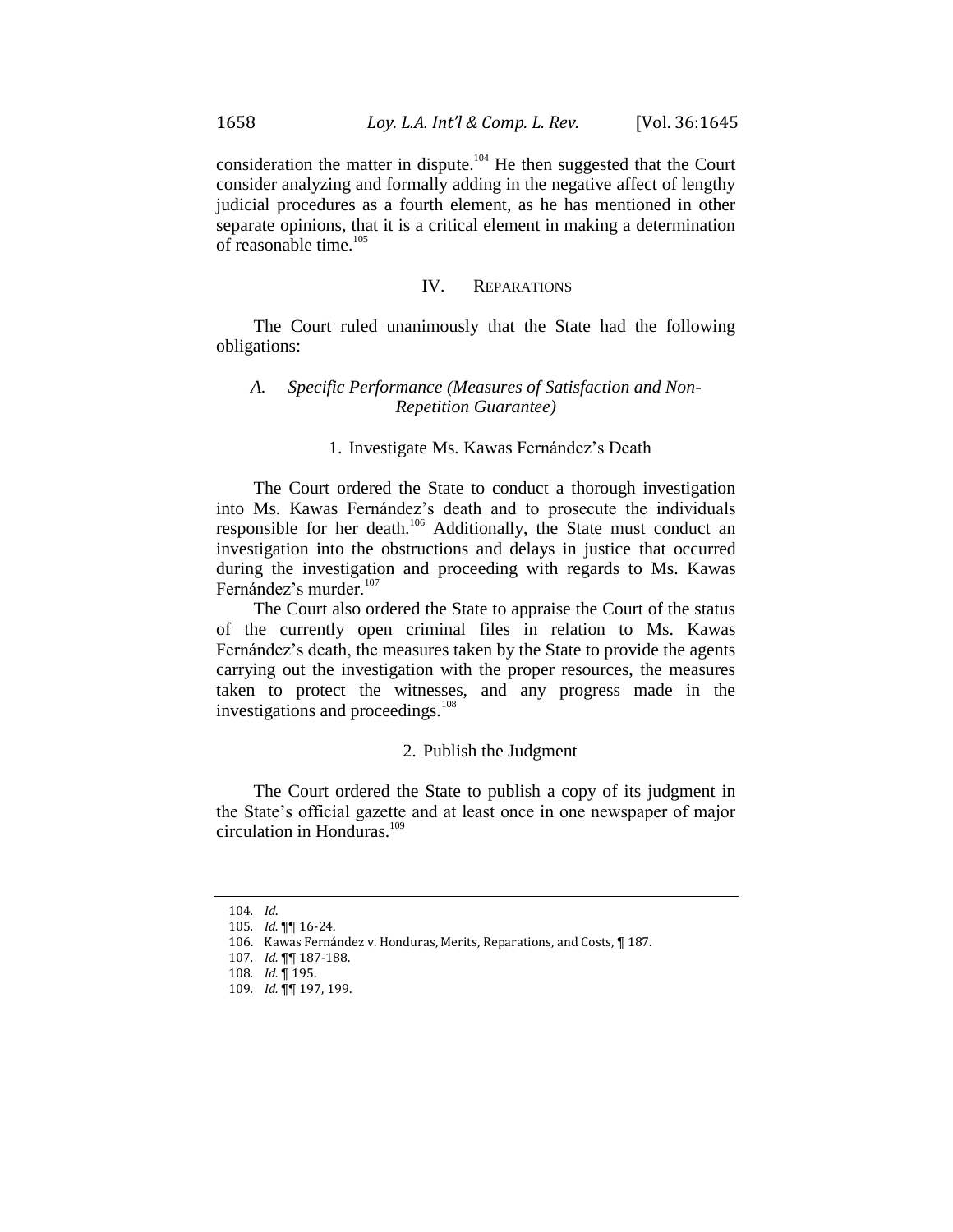consideration the matter in dispute.<sup>104</sup> He then suggested that the Court consider analyzing and formally adding in the negative affect of lengthy judicial procedures as a fourth element, as he has mentioned in other separate opinions, that it is a critical element in making a determination of reasonable time.<sup>105</sup>

# IV. REPARATIONS

The Court ruled unanimously that the State had the following obligations:

# *A. Specific Performance (Measures of Satisfaction and Non-Repetition Guarantee)*

# 1. Investigate Ms. Kawas Fernández's Death

The Court ordered the State to conduct a thorough investigation into Ms. Kawas Fernández's death and to prosecute the individuals responsible for her death.<sup>106</sup> Additionally, the State must conduct an investigation into the obstructions and delays in justice that occurred during the investigation and proceeding with regards to Ms. Kawas Fernández's murder.<sup>107</sup>

The Court also ordered the State to appraise the Court of the status of the currently open criminal files in relation to Ms. Kawas Fernández's death, the measures taken by the State to provide the agents carrying out the investigation with the proper resources, the measures taken to protect the witnesses, and any progress made in the investigations and proceedings.<sup>108</sup>

#### 2. Publish the Judgment

The Court ordered the State to publish a copy of its judgment in the State's official gazette and at least once in one newspaper of major circulation in Honduras. $109$ 

<sup>104</sup>*. Id*.

<sup>105</sup>*. Id.* ¶¶ 16-24.

<sup>106.</sup> Kawas Fernández v. Honduras, Merits, Reparations, and Costs, ¶ 187.

<sup>107</sup>*. Id.* ¶¶ 187-188.

<sup>108</sup>*. Id.* ¶ 195.

<sup>109</sup>*. Id.* ¶¶ 197, 199.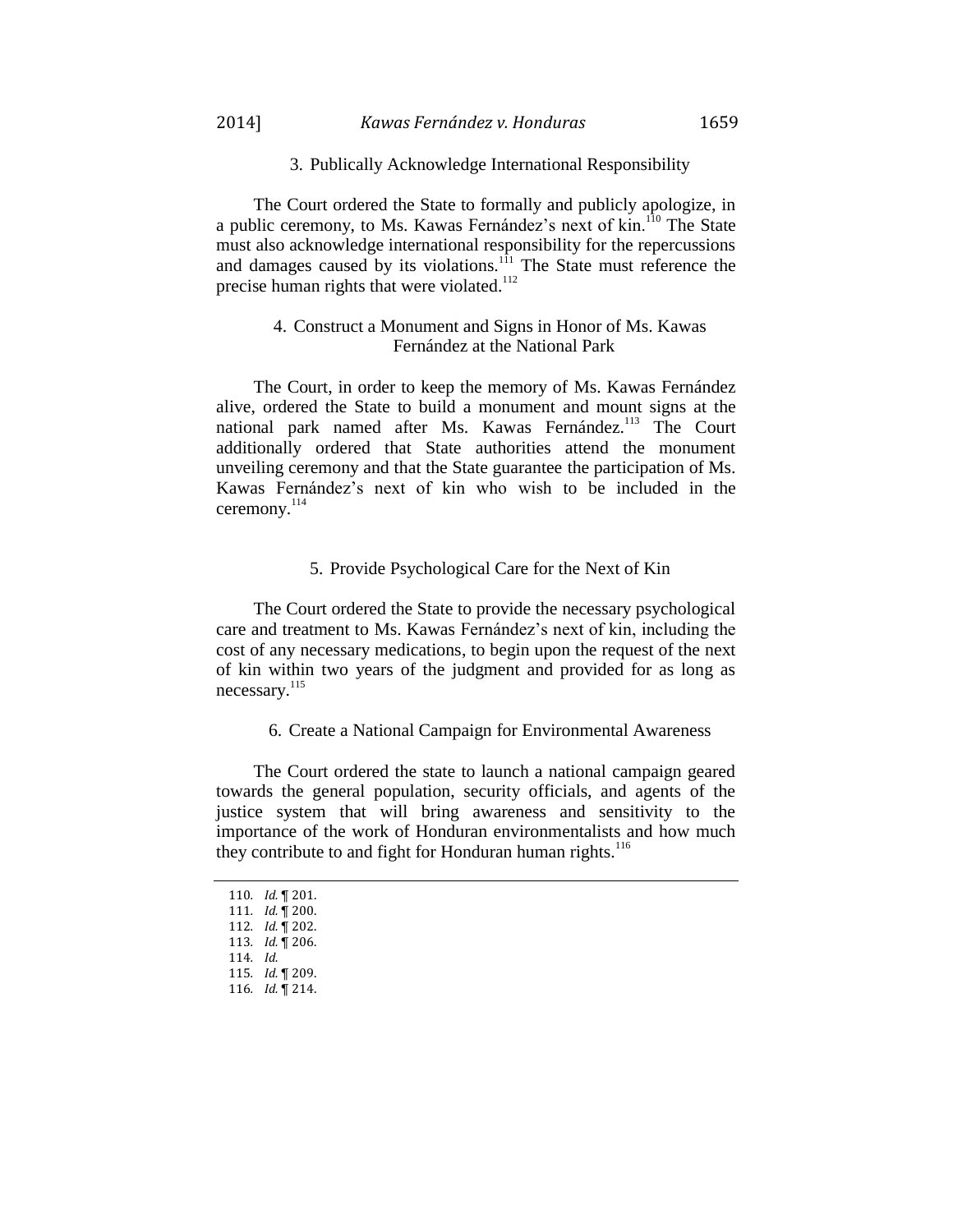## 3. Publically Acknowledge International Responsibility

The Court ordered the State to formally and publicly apologize, in a public ceremony, to Ms. Kawas Fernández's next of kin.<sup>110</sup> The State must also acknowledge international responsibility for the repercussions and damages caused by its violations.<sup>111</sup> The State must reference the precise human rights that were violated. $112$ 

# 4. Construct a Monument and Signs in Honor of Ms. Kawas Fernández at the National Park

The Court, in order to keep the memory of Ms. Kawas Fernández alive, ordered the State to build a monument and mount signs at the national park named after Ms. Kawas Fernández.<sup>113</sup> The Court additionally ordered that State authorities attend the monument unveiling ceremony and that the State guarantee the participation of Ms. Kawas Fernández's next of kin who wish to be included in the ceremony. 114

## 5. Provide Psychological Care for the Next of Kin

The Court ordered the State to provide the necessary psychological care and treatment to Ms. Kawas Fernández's next of kin, including the cost of any necessary medications, to begin upon the request of the next of kin within two years of the judgment and provided for as long as necessary.<sup>115</sup>

# 6. Create a National Campaign for Environmental Awareness

The Court ordered the state to launch a national campaign geared towards the general population, security officials, and agents of the justice system that will bring awareness and sensitivity to the importance of the work of Honduran environmentalists and how much they contribute to and fight for Honduran human rights.<sup>116</sup>

*. Id.* ¶ 201. *. Id.* ¶ 200. *. Id.* ¶ 202. *. Id.* ¶ 206. 114*. Id. . Id.* ¶ 209. *. Id.* ¶ 214.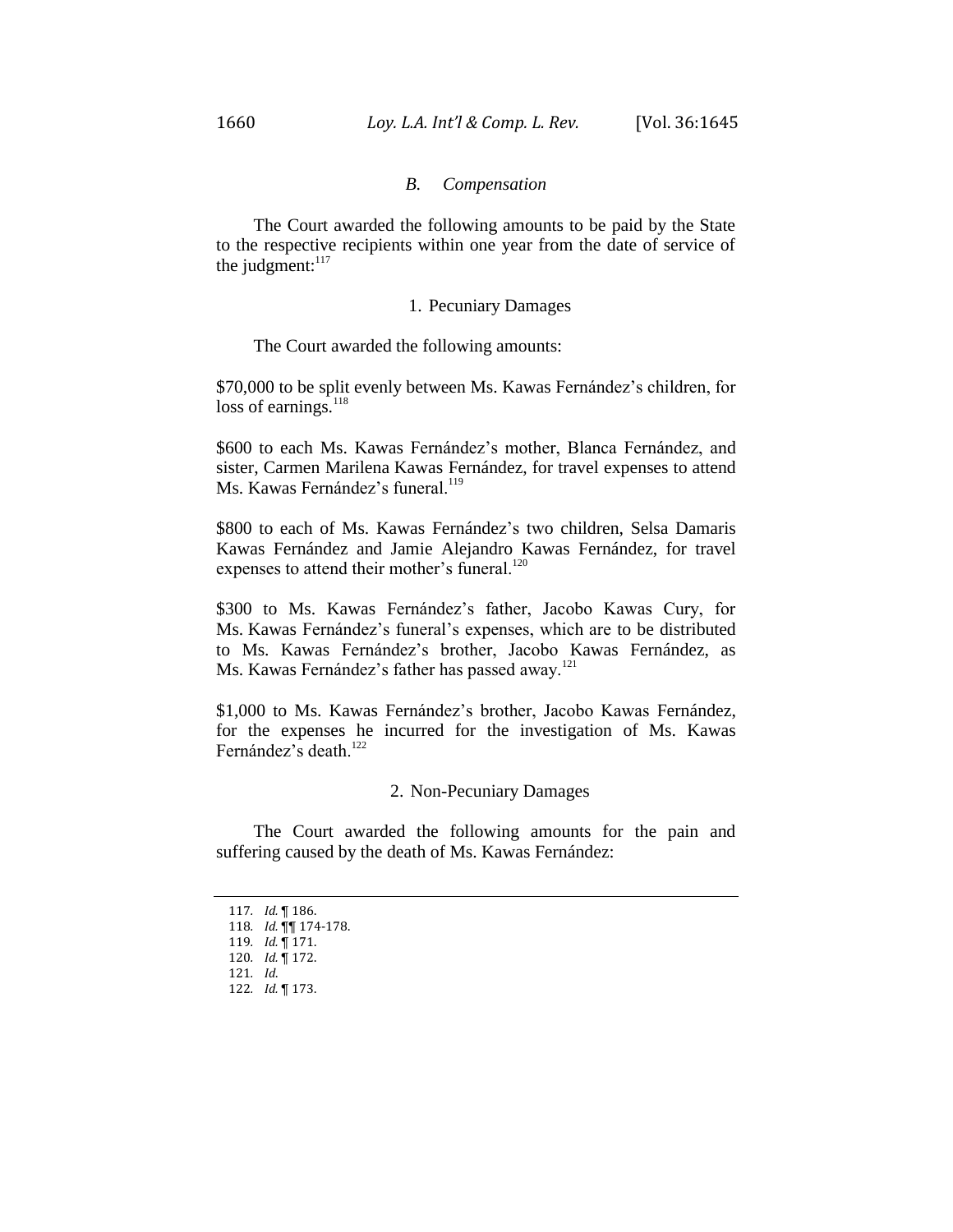### *B. Compensation*

The Court awarded the following amounts to be paid by the State to the respective recipients within one year from the date of service of the judgment: $117$ 

### 1. Pecuniary Damages

The Court awarded the following amounts:

\$70,000 to be split evenly between Ms. Kawas Fernández's children, for loss of earnings. $^{118}$ 

\$600 to each Ms. Kawas Fernández's mother, Blanca Fernández, and sister, Carmen Marilena Kawas Fernández, for travel expenses to attend Ms. Kawas Fernández's funeral<sup>119</sup>

\$800 to each of Ms. Kawas Fernández's two children, Selsa Damaris Kawas Fernández and Jamie Alejandro Kawas Fernández, for travel expenses to attend their mother's funeral.<sup>120</sup>

\$300 to Ms. Kawas Fernández's father, Jacobo Kawas Cury, for Ms. Kawas Fernández's funeral's expenses, which are to be distributed to Ms. Kawas Fernández's brother, Jacobo Kawas Fernández, as Ms. Kawas Fernández's father has passed away.<sup>121</sup>

\$1,000 to Ms. Kawas Fernández's brother, Jacobo Kawas Fernández, for the expenses he incurred for the investigation of Ms. Kawas Fernández's death.<sup>122</sup>

### 2. Non-Pecuniary Damages

The Court awarded the following amounts for the pain and suffering caused by the death of Ms. Kawas Fernández:

<sup>117</sup>*. Id.* ¶ 186.

<sup>118</sup>*. Id.* ¶¶ 174-178.

<sup>119</sup>*. Id.* ¶ 171.

<sup>120</sup>*. Id.* ¶ 172.

<sup>121</sup>*. Id*.

<sup>122</sup>*. Id.* ¶ 173.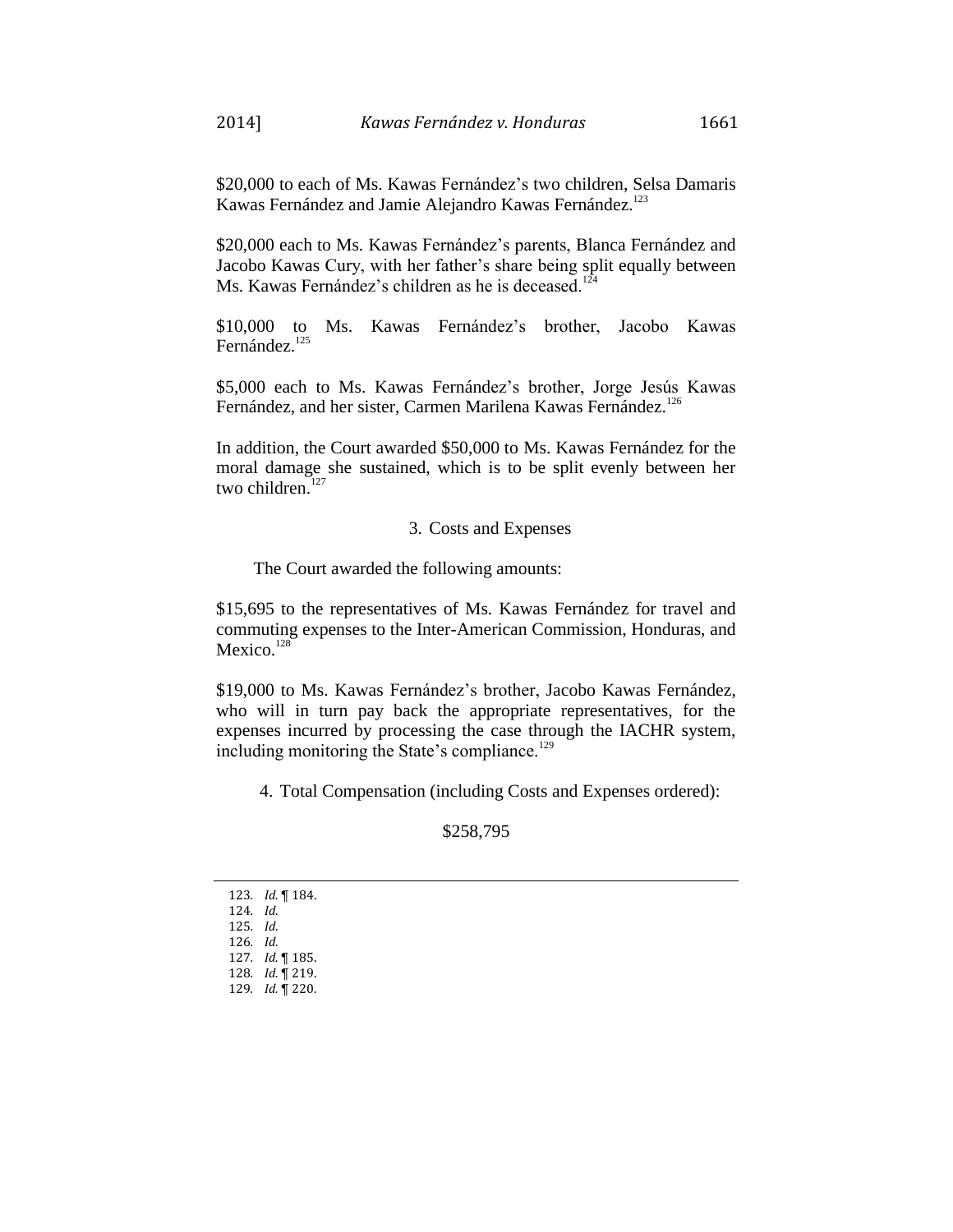\$20,000 to each of Ms. Kawas Fernández's two children, Selsa Damaris Kawas Fernández and Jamie Alejandro Kawas Fernández.<sup>123</sup>

\$20,000 each to Ms. Kawas Fernández's parents, Blanca Fernández and Jacobo Kawas Cury, with her father's share being split equally between Ms. Kawas Fernández's children as he is deceased.<sup>12</sup>

\$10,000 to Ms. Kawas Fernández's brother, Jacobo Kawas Fernández.<sup>125</sup>

\$5,000 each to Ms. Kawas Fernández's brother, Jorge Jesús Kawas Fernández, and her sister, Carmen Marilena Kawas Fernández.<sup>126</sup>

In addition, the Court awarded \$50,000 to Ms. Kawas Fernández for the moral damage she sustained, which is to be split evenly between her two children. $127$ 

# 3. Costs and Expenses

The Court awarded the following amounts:

\$15,695 to the representatives of Ms. Kawas Fernández for travel and commuting expenses to the Inter-American Commission, Honduras, and Mexico. $128$ 

\$19,000 to Ms. Kawas Fernández's brother, Jacobo Kawas Fernández, who will in turn pay back the appropriate representatives, for the expenses incurred by processing the case through the IACHR system, including monitoring the State's compliance.<sup>129</sup>

4. Total Compensation (including Costs and Expenses ordered):

# \$258,795

|                   | 123. Id. ¶ 184. |
|-------------------|-----------------|
| 124. Id.          |                 |
| 125. Id.          |                 |
| $126.$ <i>Id.</i> |                 |
|                   | 127. Id. ¶ 185. |
|                   | 128. Id. 1 219. |
|                   | 129. Id. ¶ 220. |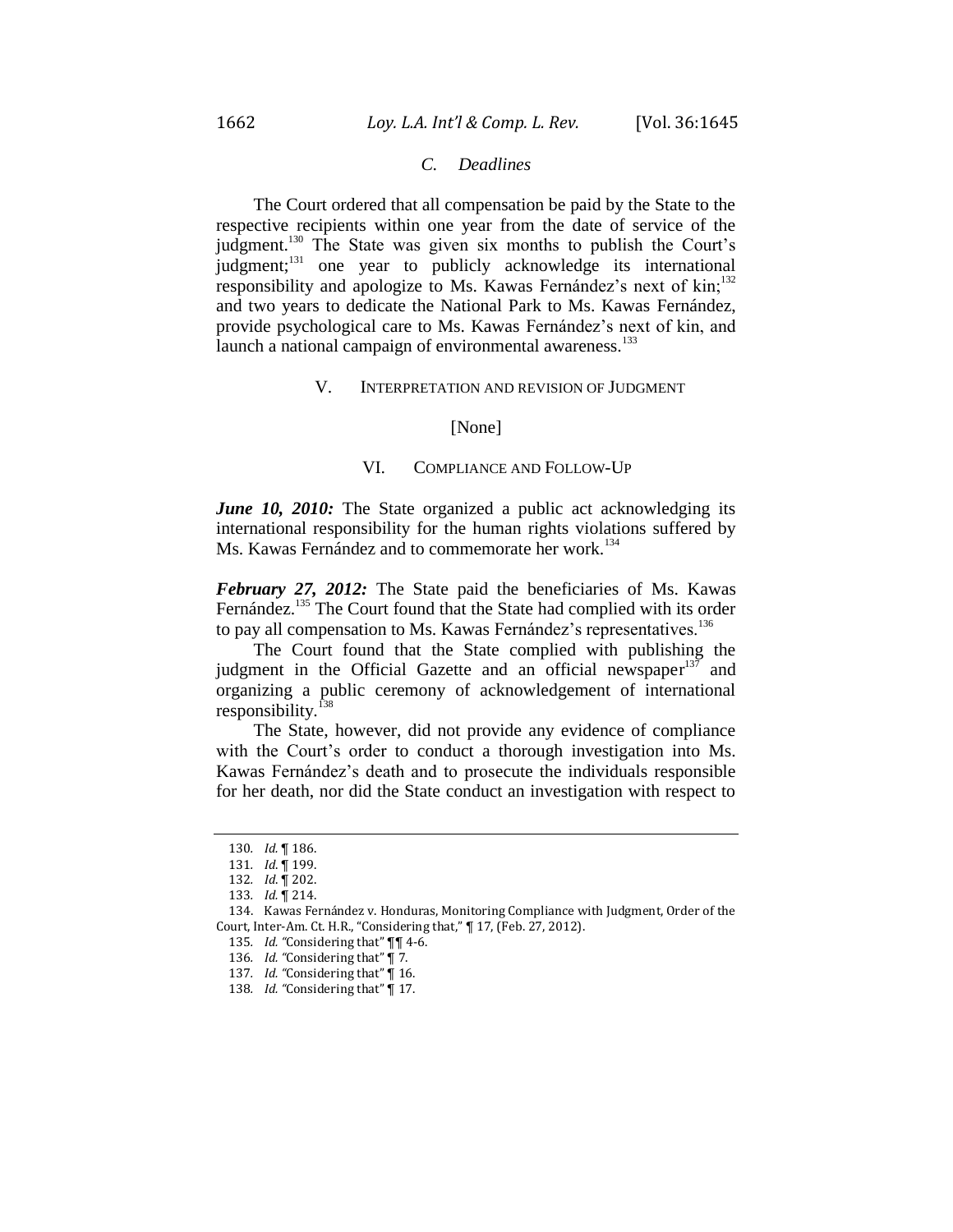# *C. Deadlines*

The Court ordered that all compensation be paid by the State to the respective recipients within one year from the date of service of the judgment.<sup>130</sup> The State was given six months to publish the Court's judgment;<sup>131</sup> one year to publicly acknowledge its international responsibility and apologize to Ms. Kawas Fernández's next of  $\text{kin}$ ;<sup>132</sup> and two years to dedicate the National Park to Ms. Kawas Fernández, provide psychological care to Ms. Kawas Fernández's next of kin, and launch a national campaign of environmental awareness.<sup>133</sup>

#### V. INTERPRETATION AND REVISION OF JUDGMENT

# [None]

#### VI. COMPLIANCE AND FOLLOW-UP

*June 10, 2010:* The State organized a public act acknowledging its international responsibility for the human rights violations suffered by Ms. Kawas Fernández and to commemorate her work.<sup>134</sup>

*February 27, 2012:* The State paid the beneficiaries of Ms. Kawas Fernández.<sup>135</sup> The Court found that the State had complied with its order to pay all compensation to Ms. Kawas Fernández's representatives.<sup>136</sup>

The Court found that the State complied with publishing the judgment in the Official Gazette and an official newspaper $137$  and organizing a public ceremony of acknowledgement of international responsibility.<sup>138</sup>

The State, however, did not provide any evidence of compliance with the Court's order to conduct a thorough investigation into Ms. Kawas Fernández's death and to prosecute the individuals responsible for her death, nor did the State conduct an investigation with respect to

<sup>130</sup>*. Id.* ¶ 186.

<sup>131</sup>*. Id*. ¶ 199.

<sup>132</sup>*. Id*. ¶ 202.

<sup>133</sup>*. Id.* ¶ 214.

<sup>134.</sup> Kawas Fernández v. Honduras, Monitoring Compliance with Judgment, Order of the Court, Inter-Am. Ct. H.R., "Considering that," ¶ 17, (Feb. 27, 2012).

<sup>135</sup>*. Id. "*Considering that" ¶¶ 4-6.

<sup>136</sup>*. Id. "*Considering that" ¶ 7.

<sup>137</sup>*. Id. "*Considering that" ¶ 16.

<sup>138</sup>*. Id. "*Considering that" ¶ 17.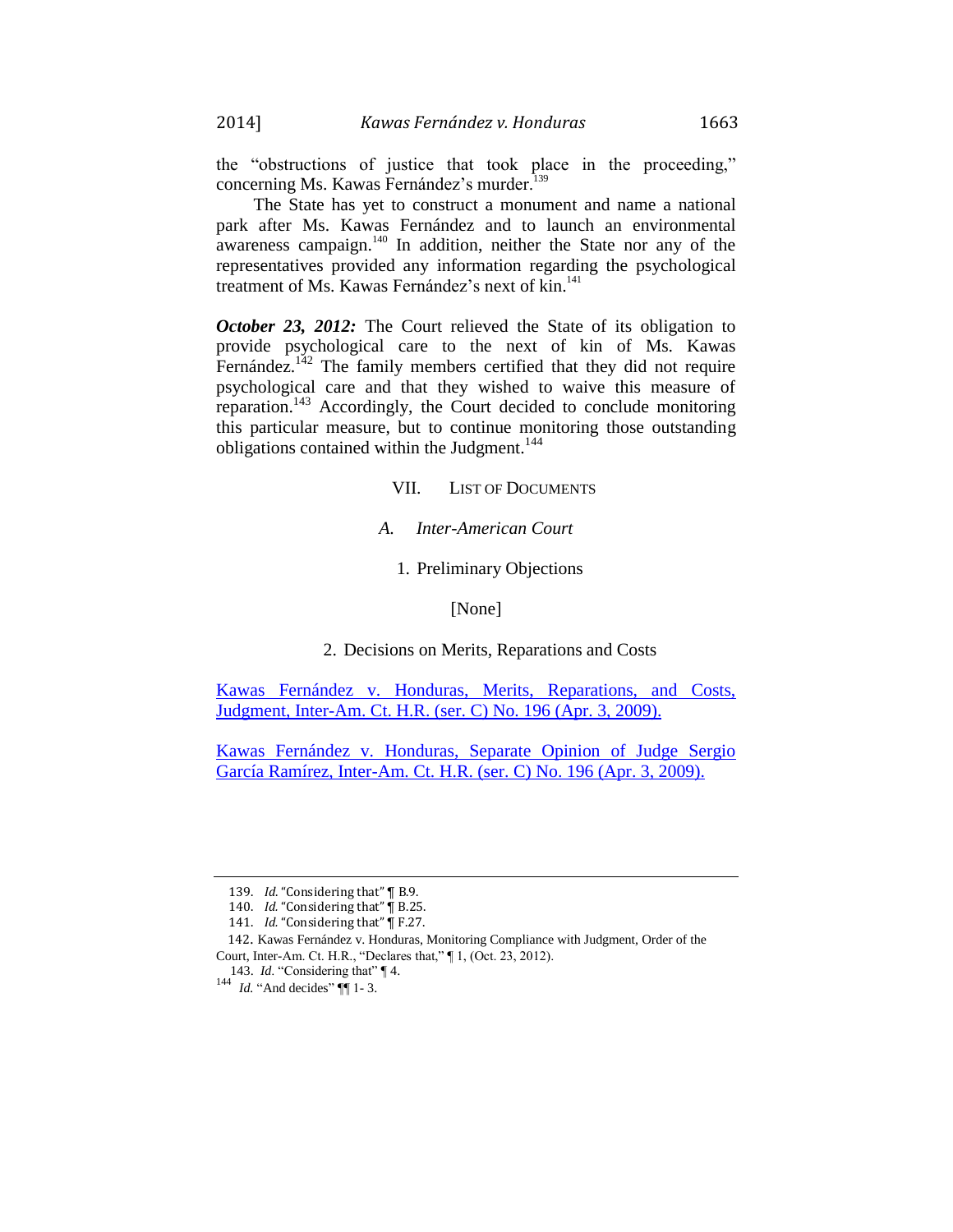the "obstructions of justice that took place in the proceeding," concerning Ms. Kawas Fernández's murder.<sup>139</sup>

The State has yet to construct a monument and name a national park after Ms. Kawas Fernández and to launch an environmental awareness campaign.<sup>140</sup> In addition, neither the State nor any of the representatives provided any information regarding the psychological treatment of Ms. Kawas Fernández's next of  $\text{kin}^{141}$ .

*October 23, 2012:* The Court relieved the State of its obligation to provide psychological care to the next of kin of Ms. Kawas Fernández.<sup>142</sup> The family members certified that they did not require psychological care and that they wished to waive this measure of reparation.<sup>143</sup> Accordingly, the Court decided to conclude monitoring this particular measure, but to continue monitoring those outstanding obligations contained within the Judgment.<sup>144</sup>

# VII. LIST OF DOCUMENTS

### *A. Inter-American Court*

## 1. Preliminary Objections

[None]

# 2. Decisions on Merits, Reparations and Costs

[Kawas Fernández v. Honduras, Merits, Reparations, and Costs,](https://iachr.lls.edu/sites/iachr.lls.edu/files/Kawas%20Fernandez%20v.%20Honduras.Merits.04.03.09.pdf)  [Judgment, Inter-Am. Ct. H.R. \(ser. C\) No. 196 \(Apr. 3, 2009\).](https://iachr.lls.edu/sites/iachr.lls.edu/files/Kawas%20Fernandez%20v.%20Honduras.Merits.04.03.09.pdf)

[Kawas Fernández v. Honduras, Separate Opinion of Judge Sergio](https://iachr.lls.edu/sites/iachr.lls.edu/files/Kawas%20Fernandez%20v.%20Honduras.Merits.04.03.09.pdf)  [García Ramírez, Inter-Am. Ct. H.R. \(ser. C\) No. 196 \(Apr. 3, 2009\).](https://iachr.lls.edu/sites/iachr.lls.edu/files/Kawas%20Fernandez%20v.%20Honduras.Merits.04.03.09.pdf)

<sup>139.</sup> *Id*. "Considering that" ¶ B.9.

<sup>140.</sup> *Id.* "Considering that" | B.25.

<sup>141.</sup> *Id.* "Considering that" ¶ F.27.

142. Kawas Fernández v. Honduras, Monitoring Compliance with Judgment, Order of the Court, Inter-Am. Ct. H.R., "Declares that," ¶ 1, (Oct. 23, 2012).

<sup>143.</sup> *Id*. "Considering that" ¶ 4. <sup>144</sup> *Id.* "And decides" ¶ 1-3.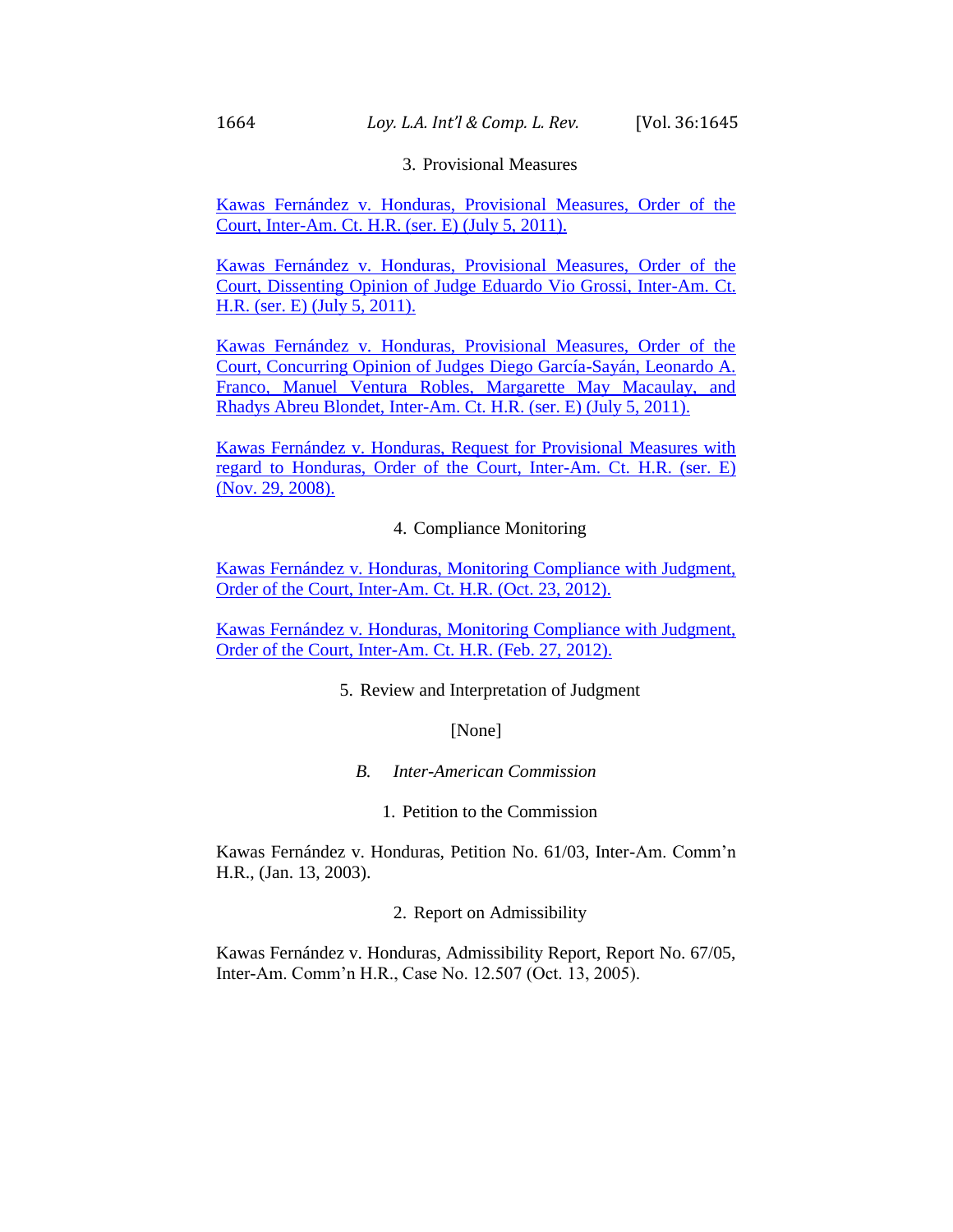# 3. Provisional Measures

[Kawas Fernández v. Honduras, Provisional Measures, Order of the](https://iachr.lls.edu/sites/iachr.lls.edu/files/iachr/Court_and_Commission_Documents/Kawas-Fern%2B%C3%ADndez%20v.%20Honduras.ProvisionalMeasures.07.05.11.pdf)  Court, Inter-Am. Ct. [H.R. \(ser. E\) \(July 5, 2011\).](https://iachr.lls.edu/sites/iachr.lls.edu/files/iachr/Court_and_Commission_Documents/Kawas-Fern%2B%C3%ADndez%20v.%20Honduras.ProvisionalMeasures.07.05.11.pdf)

[Kawas Fernández v. Honduras, Provisional Measures,](https://iachr.lls.edu/sites/iachr.lls.edu/files/iachr/Court_and_Commission_Documents/Kawas-Fern%2B%C3%ADndez%20v.%20Honduras.ProvisionalMeasures.07.05.11.pdf) Order of the [Court, Dissenting Opinion of Judge Eduardo Vio Grossi, Inter-Am. Ct.](https://iachr.lls.edu/sites/iachr.lls.edu/files/iachr/Court_and_Commission_Documents/Kawas-Fern%2B%C3%ADndez%20v.%20Honduras.ProvisionalMeasures.07.05.11.pdf)  [H.R. \(ser. E\) \(July 5, 2011\).](https://iachr.lls.edu/sites/iachr.lls.edu/files/iachr/Court_and_Commission_Documents/Kawas-Fern%2B%C3%ADndez%20v.%20Honduras.ProvisionalMeasures.07.05.11.pdf)

[Kawas Fernández v. Honduras, Provisional Measures, Order of the](https://iachr.lls.edu/sites/iachr.lls.edu/files/iachr/Court_and_Commission_Documents/Kawas-Fern%2B%C3%ADndez%20v.%20Honduras.ProvisionalMeasures.07.05.11.pdf)  [Court, Concurring Opinion of Judges Diego García-Sayán, Leonardo A.](https://iachr.lls.edu/sites/iachr.lls.edu/files/iachr/Court_and_Commission_Documents/Kawas-Fern%2B%C3%ADndez%20v.%20Honduras.ProvisionalMeasures.07.05.11.pdf)  [Franco, Manuel Ventura Robles, Margarette May Macaulay, and](https://iachr.lls.edu/sites/iachr.lls.edu/files/iachr/Court_and_Commission_Documents/Kawas-Fern%2B%C3%ADndez%20v.%20Honduras.ProvisionalMeasures.07.05.11.pdf)  [Rhadys Abreu Blondet, Inter-Am. Ct. H.R. \(ser. E\) \(July 5, 2011\).](https://iachr.lls.edu/sites/iachr.lls.edu/files/iachr/Court_and_Commission_Documents/Kawas-Fern%2B%C3%ADndez%20v.%20Honduras.ProvisionalMeasures.07.05.11.pdf)

[Kawas Fernández v. Honduras, Request for Provisional Measures with](https://iachr.lls.edu/sites/iachr.lls.edu/files/Kawas%20Fernandez%20v.%20Honduras.ProvisionalMeasures.11.29.08.pdf)  [regard to Honduras, Order of the Court, Inter-Am. Ct. H.R. \(ser. E\)](https://iachr.lls.edu/sites/iachr.lls.edu/files/Kawas%20Fernandez%20v.%20Honduras.ProvisionalMeasures.11.29.08.pdf)  [\(Nov. 29, 2008\).](https://iachr.lls.edu/sites/iachr.lls.edu/files/Kawas%20Fernandez%20v.%20Honduras.ProvisionalMeasures.11.29.08.pdf)

# 4. Compliance Monitoring

Kawas Fernández [v. Honduras, Monitoring Compliance with Judgment,](https://iachr.lls.edu/sites/iachr.lls.edu/files/Kawas%20Fernandez%20v.%20Honduras.MonitoringCompliance.10.23.12.pdf)  [Order of the Court, Inter-Am. Ct. H.R. \(Oct. 23, 2012\).](https://iachr.lls.edu/sites/iachr.lls.edu/files/Kawas%20Fernandez%20v.%20Honduras.MonitoringCompliance.10.23.12.pdf)

[Kawas Fernández v. Honduras, Monitoring Compliance with Judgment,](https://iachr.lls.edu/sites/iachr.lls.edu/files/Kawas%20Fernandez%20v.%20Honduras.MonitoringCompliance.02.27.12.pdf)  [Order of the Court, Inter-Am. Ct. H.R. \(Feb. 27, 2012\).](https://iachr.lls.edu/sites/iachr.lls.edu/files/Kawas%20Fernandez%20v.%20Honduras.MonitoringCompliance.02.27.12.pdf)

# 5. Review and Interpretation of Judgment

[None]

*B. Inter-American Commission*

1. Petition to the Commission

Kawas Fernández v. Honduras, Petition No. 61/03, Inter-Am. Comm'n H.R., (Jan. 13, 2003).

2. Report on Admissibility

Kawas Fernández v. Honduras, Admissibility Report, Report No. 67/05, Inter-Am. Comm'n H.R., Case No. 12.507 (Oct. 13, 2005).